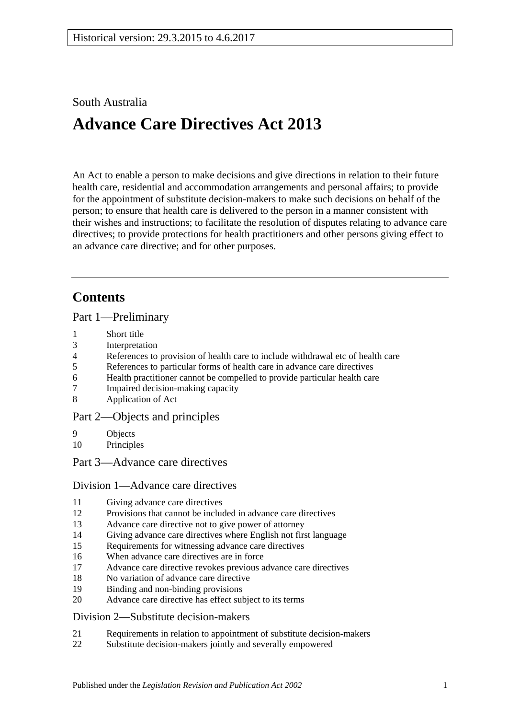## South Australia

# **Advance Care Directives Act 2013**

An Act to enable a person to make decisions and give directions in relation to their future health care, residential and accommodation arrangements and personal affairs; to provide for the appointment of substitute decision-makers to make such decisions on behalf of the person; to ensure that health care is delivered to the person in a manner consistent with their wishes and instructions; to facilitate the resolution of disputes relating to advance care directives; to provide protections for health practitioners and other persons giving effect to an advance care directive; and for other purposes.

## **Contents**

Part [1—Preliminary](#page-2-0)

- 1 [Short title](#page-2-1)
- 3 [Interpretation](#page-3-0)
- 4 [References to provision of health care to include withdrawal etc of health care](#page-4-0)
- 5 [References to particular forms of health care in advance care directives](#page-4-1)
- 6 [Health practitioner cannot be compelled to provide](#page-4-2) particular health care
- 7 [Impaired decision-making capacity](#page-5-0)
- 8 [Application of Act](#page-5-1)

## Part [2—Objects and principles](#page-5-2)

- 9 [Objects](#page-5-3)
- 10 [Principles](#page-6-0)
- Part [3—Advance care directives](#page-7-0)

## Division [1—Advance care directives](#page-7-1)

- 11 [Giving advance care directives](#page-7-2)
- 12 [Provisions that cannot be included in advance care directives](#page-8-0)
- 13 [Advance care directive not to give power of attorney](#page-9-0)
- 14 [Giving advance care directives where English not first language](#page-9-1)
- 15 [Requirements for witnessing advance care directives](#page-10-0)
- 16 [When advance care directives are in force](#page-11-0)
- 17 [Advance care directive revokes previous advance care directives](#page-11-1)
- 18 [No variation of advance care directive](#page-11-2)
- 19 [Binding and non-binding provisions](#page-11-3)
- 20 [Advance care directive has effect subject to its terms](#page-12-0)

## Division [2—Substitute decision-makers](#page-12-1)

- 21 [Requirements in relation to appointment of substitute decision-makers](#page-12-2)
- 22 [Substitute decision-makers jointly and severally empowered](#page-12-3)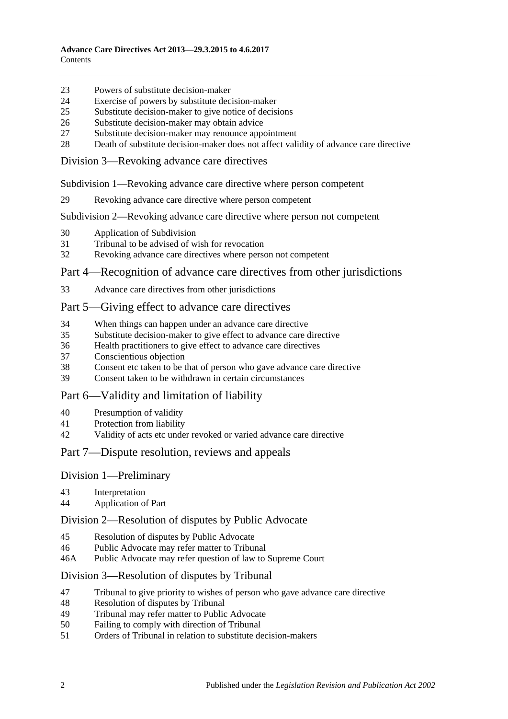- [Powers of substitute decision-maker](#page-12-4)
- [Exercise of powers by substitute decision-maker](#page-13-0)
- [Substitute decision-maker to give notice of decisions](#page-13-1)
- [Substitute decision-maker may obtain advice](#page-13-2)
- [Substitute decision-maker may renounce appointment](#page-14-0)
- [Death of substitute decision-maker does not affect validity of advance care directive](#page-14-1)

Division [3—Revoking advance care directives](#page-14-2)

Subdivision [1—Revoking advance care directive where person competent](#page-14-3)

[Revoking advance care directive where person competent](#page-14-4)

Subdivision [2—Revoking advance care directive where person not competent](#page-15-0)

- [Application of Subdivision](#page-15-1)
- [Tribunal to be advised of wish for revocation](#page-15-2)
- [Revoking advance care directives where person not competent](#page-15-3)

#### Part [4—Recognition of advance care directives from other jurisdictions](#page-16-0)

[Advance care directives from other jurisdictions](#page-16-1)

#### Part [5—Giving effect to advance care directives](#page-17-0)

- [When things can happen under an advance care directive](#page-17-1)
- [Substitute decision-maker to give effect to advance care directive](#page-17-2)
- [Health practitioners to give effect to advance care directives](#page-18-0)
- [Conscientious objection](#page-19-0)
- [Consent etc taken to be that of person who gave advance care directive](#page-19-1)<br>39 Consent taken to be withdrawn in certain circumstances
- [Consent taken to be withdrawn in certain circumstances](#page-19-2)

#### Part [6—Validity and limitation of liability](#page-19-3)

- [Presumption of validity](#page-19-4)
- [Protection from liability](#page-19-5)
- [Validity of acts etc under revoked or varied advance care directive](#page-20-0)

#### Part [7—Dispute resolution, reviews and appeals](#page-20-1)

#### Division [1—Preliminary](#page-20-2)

- [Interpretation](#page-20-3)
- [Application of Part](#page-20-4)

#### Division [2—Resolution of disputes by Public Advocate](#page-20-5)

- [Resolution of disputes by Public Advocate](#page-20-6)
- [Public Advocate may refer matter to Tribunal](#page-22-0)
- 46A [Public Advocate may refer question of law to Supreme Court](#page-22-1)

#### Division [3—Resolution of disputes by Tribunal](#page-22-2)

- [Tribunal to give priority to wishes of person who gave advance care directive](#page-22-3)
- [Resolution of disputes by Tribunal](#page-22-4)
- [Tribunal may refer matter to Public Advocate](#page-23-0)
- [Failing to comply with direction of Tribunal](#page-23-1)
- [Orders of Tribunal in relation to substitute decision-makers](#page-24-0)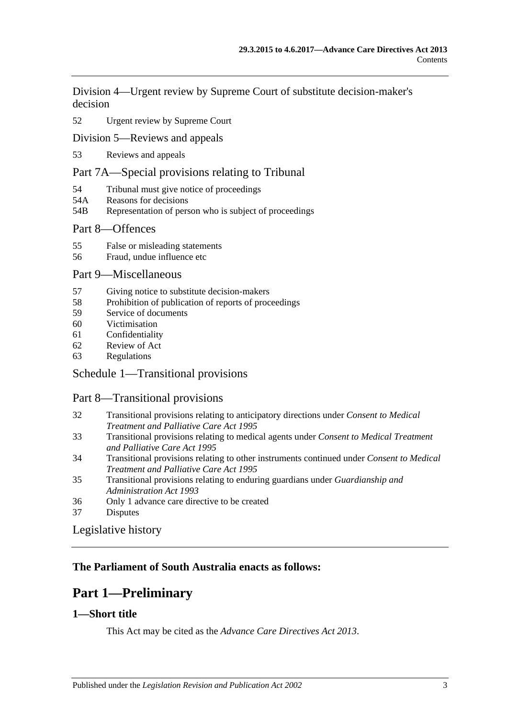Division [4—Urgent review by Supreme Court of substitute decision-maker's](#page-25-0)  [decision](#page-25-0)

#### 52 [Urgent review by Supreme Court](#page-25-1)

[Division 5—Reviews and appeals](#page-25-2)

53 [Reviews and appeals](#page-25-3)

### [Part 7A—Special provisions relating to Tribunal](#page-26-0)

- 54 [Tribunal must give notice of proceedings](#page-26-1)
- 54A [Reasons for decisions](#page-27-0)
- 54B [Representation of person who is subject of proceedings](#page-27-1)

#### Part [8—Offences](#page-27-2)

- 55 [False or misleading statements](#page-27-3)
- 56 [Fraud, undue influence etc](#page-27-4)

#### Part [9—Miscellaneous](#page-28-0)

- 57 [Giving notice to substitute decision-makers](#page-28-1)
- 58 [Prohibition of publication of reports of proceedings](#page-28-2)
- 59 [Service of documents](#page-29-0)
- 60 [Victimisation](#page-29-1)
- 61 [Confidentiality](#page-30-0)
- 62 [Review of Act](#page-30-1)
- 63 [Regulations](#page-31-0)

#### Schedule [1—Transitional provisions](#page-31-1)

#### Part 8—Transitional provisions

- 32 [Transitional provisions relating to anticipatory directions under](#page-31-2) *Consent to Medical [Treatment and Palliative Care Act](#page-31-2) 1995*
- 33 [Transitional provisions relating to medical agents under](#page-32-0) *Consent to Medical Treatment [and Palliative Care Act](#page-32-0) 1995*
- 34 [Transitional provisions relating to other instruments continued under](#page-33-0) *Consent to Medical [Treatment and Palliative Care Act](#page-33-0) 1995*
- 35 [Transitional provisions relating to enduring guardians under](#page-34-0) *Guardianship and [Administration Act](#page-34-0) 1993*
- 36 [Only 1 advance care directive to be created](#page-34-1)
- 37 [Disputes](#page-35-0)

#### [Legislative history](#page-36-0)

## <span id="page-2-0"></span>**The Parliament of South Australia enacts as follows:**

## **Part 1—Preliminary**

### <span id="page-2-1"></span>**1—Short title**

This Act may be cited as the *Advance Care Directives Act 2013*.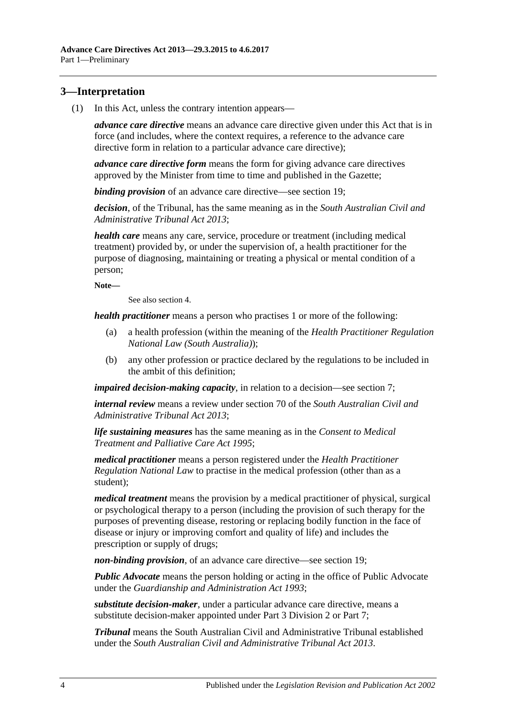## <span id="page-3-1"></span><span id="page-3-0"></span>**3—Interpretation**

(1) In this Act, unless the contrary intention appears—

*advance care directive* means an advance care directive given under this Act that is in force (and includes, where the context requires, a reference to the advance care directive form in relation to a particular advance care directive);

*advance care directive form* means the form for giving advance care directives approved by the Minister from time to time and published in the Gazette;

*binding provision* of an advance care directive—see [section](#page-11-3) 19;

*decision*, of the Tribunal, has the same meaning as in the *[South Australian Civil and](http://www.legislation.sa.gov.au/index.aspx?action=legref&type=act&legtitle=South%20Australian%20Civil%20and%20Administrative%20Tribunal%20Act%202013)  [Administrative Tribunal Act](http://www.legislation.sa.gov.au/index.aspx?action=legref&type=act&legtitle=South%20Australian%20Civil%20and%20Administrative%20Tribunal%20Act%202013) 2013*;

*health care* means any care, service, procedure or treatment (including medical treatment) provided by, or under the supervision of, a health practitioner for the purpose of diagnosing, maintaining or treating a physical or mental condition of a person;

**Note—**

See also [section](#page-4-0) 4.

*health practitioner* means a person who practises 1 or more of the following:

- (a) a health profession (within the meaning of the *Health Practitioner Regulation National Law (South Australia)*);
- (b) any other profession or practice declared by the regulations to be included in the ambit of this definition;

*impaired decision-making capacity*, in relation to a decision—see [section](#page-5-0) 7;

*internal review* means a review under section 70 of the *[South Australian Civil and](http://www.legislation.sa.gov.au/index.aspx?action=legref&type=act&legtitle=South%20Australian%20Civil%20and%20Administrative%20Tribunal%20Act%202013)  [Administrative Tribunal Act](http://www.legislation.sa.gov.au/index.aspx?action=legref&type=act&legtitle=South%20Australian%20Civil%20and%20Administrative%20Tribunal%20Act%202013) 2013*;

*life sustaining measures* has the same meaning as in the *[Consent to Medical](http://www.legislation.sa.gov.au/index.aspx?action=legref&type=act&legtitle=Consent%20to%20Medical%20Treatment%20and%20Palliative%20Care%20Act%201995)  [Treatment and Palliative Care Act](http://www.legislation.sa.gov.au/index.aspx?action=legref&type=act&legtitle=Consent%20to%20Medical%20Treatment%20and%20Palliative%20Care%20Act%201995) 1995*;

*medical practitioner* means a person registered under the *Health Practitioner Regulation National Law* to practise in the medical profession (other than as a student);

*medical treatment* means the provision by a medical practitioner of physical, surgical or psychological therapy to a person (including the provision of such therapy for the purposes of preventing disease, restoring or replacing bodily function in the face of disease or injury or improving comfort and quality of life) and includes the prescription or supply of drugs;

*non-binding provision*, of an advance care directive—see [section](#page-11-3) 19;

*Public Advocate* means the person holding or acting in the office of Public Advocate under the *[Guardianship and Administration Act](http://www.legislation.sa.gov.au/index.aspx?action=legref&type=act&legtitle=Guardianship%20and%20Administration%20Act%201993) 1993*;

*substitute decision-maker*, under a particular advance care directive, means a substitute decision-maker appointed under Part [3 Division](#page-12-1) 2 or [Part](#page-20-1) 7;

*Tribunal* means the South Australian Civil and Administrative Tribunal established under the *[South Australian Civil and Administrative Tribunal Act](http://www.legislation.sa.gov.au/index.aspx?action=legref&type=act&legtitle=South%20Australian%20Civil%20and%20Administrative%20Tribunal%20Act%202013) 2013*.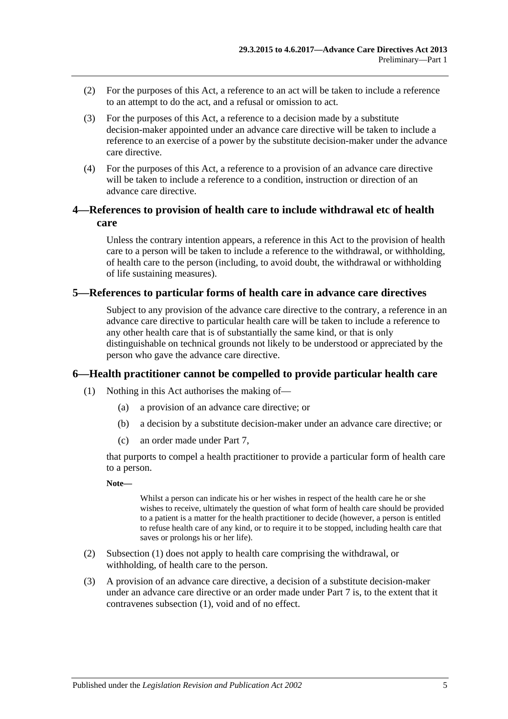- (2) For the purposes of this Act, a reference to an act will be taken to include a reference to an attempt to do the act, and a refusal or omission to act.
- (3) For the purposes of this Act, a reference to a decision made by a substitute decision-maker appointed under an advance care directive will be taken to include a reference to an exercise of a power by the substitute decision-maker under the advance care directive.
- (4) For the purposes of this Act, a reference to a provision of an advance care directive will be taken to include a reference to a condition, instruction or direction of an advance care directive.

## <span id="page-4-0"></span>**4—References to provision of health care to include withdrawal etc of health care**

Unless the contrary intention appears, a reference in this Act to the provision of health care to a person will be taken to include a reference to the withdrawal, or withholding, of health care to the person (including, to avoid doubt, the withdrawal or withholding of life sustaining measures).

### <span id="page-4-1"></span>**5—References to particular forms of health care in advance care directives**

Subject to any provision of the advance care directive to the contrary, a reference in an advance care directive to particular health care will be taken to include a reference to any other health care that is of substantially the same kind, or that is only distinguishable on technical grounds not likely to be understood or appreciated by the person who gave the advance care directive.

#### <span id="page-4-3"></span><span id="page-4-2"></span>**6—Health practitioner cannot be compelled to provide particular health care**

- (1) Nothing in this Act authorises the making of—
	- (a) a provision of an advance care directive; or
	- (b) a decision by a substitute decision-maker under an advance care directive; or
	- (c) an order made under [Part](#page-20-1) 7,

that purports to compel a health practitioner to provide a particular form of health care to a person.

#### **Note—**

Whilst a person can indicate his or her wishes in respect of the health care he or she wishes to receive, ultimately the question of what form of health care should be provided to a patient is a matter for the health practitioner to decide (however, a person is entitled to refuse health care of any kind, or to require it to be stopped, including health care that saves or prolongs his or her life).

- (2) [Subsection](#page-4-3) (1) does not apply to health care comprising the withdrawal, or withholding, of health care to the person.
- (3) A provision of an advance care directive, a decision of a substitute decision-maker under an advance care directive or an order made under [Part](#page-20-1) 7 is, to the extent that it contravenes [subsection](#page-4-3) (1), void and of no effect.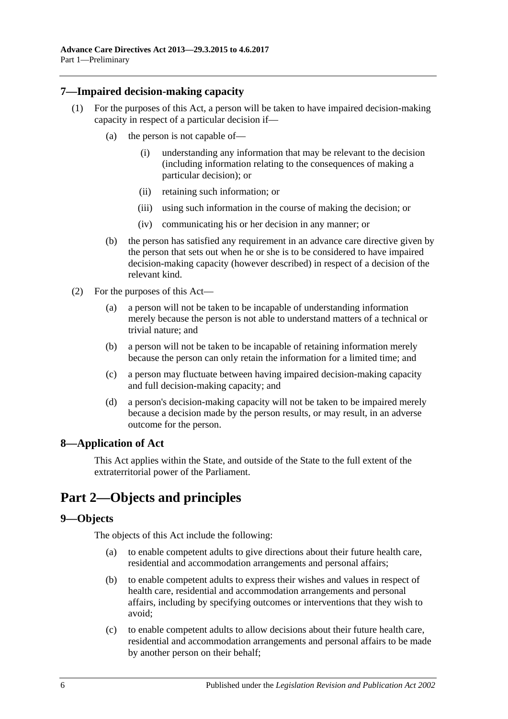## <span id="page-5-0"></span>**7—Impaired decision-making capacity**

- (1) For the purposes of this Act, a person will be taken to have impaired decision-making capacity in respect of a particular decision if—
	- (a) the person is not capable of—
		- (i) understanding any information that may be relevant to the decision (including information relating to the consequences of making a particular decision); or
		- (ii) retaining such information; or
		- (iii) using such information in the course of making the decision; or
		- (iv) communicating his or her decision in any manner; or
	- (b) the person has satisfied any requirement in an advance care directive given by the person that sets out when he or she is to be considered to have impaired decision-making capacity (however described) in respect of a decision of the relevant kind.
- (2) For the purposes of this Act—
	- (a) a person will not be taken to be incapable of understanding information merely because the person is not able to understand matters of a technical or trivial nature; and
	- (b) a person will not be taken to be incapable of retaining information merely because the person can only retain the information for a limited time; and
	- (c) a person may fluctuate between having impaired decision-making capacity and full decision-making capacity; and
	- (d) a person's decision-making capacity will not be taken to be impaired merely because a decision made by the person results, or may result, in an adverse outcome for the person.

## <span id="page-5-1"></span>**8—Application of Act**

This Act applies within the State, and outside of the State to the full extent of the extraterritorial power of the Parliament.

## <span id="page-5-2"></span>**Part 2—Objects and principles**

#### <span id="page-5-3"></span>**9—Objects**

The objects of this Act include the following:

- (a) to enable competent adults to give directions about their future health care, residential and accommodation arrangements and personal affairs;
- (b) to enable competent adults to express their wishes and values in respect of health care, residential and accommodation arrangements and personal affairs, including by specifying outcomes or interventions that they wish to avoid;
- (c) to enable competent adults to allow decisions about their future health care, residential and accommodation arrangements and personal affairs to be made by another person on their behalf;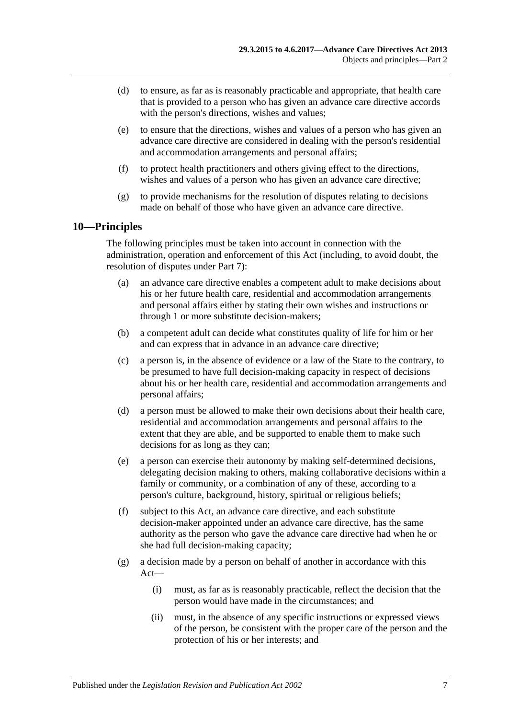- (d) to ensure, as far as is reasonably practicable and appropriate, that health care that is provided to a person who has given an advance care directive accords with the person's directions, wishes and values;
- (e) to ensure that the directions, wishes and values of a person who has given an advance care directive are considered in dealing with the person's residential and accommodation arrangements and personal affairs;
- (f) to protect health practitioners and others giving effect to the directions, wishes and values of a person who has given an advance care directive;
- (g) to provide mechanisms for the resolution of disputes relating to decisions made on behalf of those who have given an advance care directive.

## <span id="page-6-0"></span>**10—Principles**

The following principles must be taken into account in connection with the administration, operation and enforcement of this Act (including, to avoid doubt, the resolution of disputes under [Part](#page-20-1) 7):

- (a) an advance care directive enables a competent adult to make decisions about his or her future health care, residential and accommodation arrangements and personal affairs either by stating their own wishes and instructions or through 1 or more substitute decision-makers;
- (b) a competent adult can decide what constitutes quality of life for him or her and can express that in advance in an advance care directive;
- (c) a person is, in the absence of evidence or a law of the State to the contrary, to be presumed to have full decision-making capacity in respect of decisions about his or her health care, residential and accommodation arrangements and personal affairs;
- (d) a person must be allowed to make their own decisions about their health care, residential and accommodation arrangements and personal affairs to the extent that they are able, and be supported to enable them to make such decisions for as long as they can;
- (e) a person can exercise their autonomy by making self-determined decisions, delegating decision making to others, making collaborative decisions within a family or community, or a combination of any of these, according to a person's culture, background, history, spiritual or religious beliefs;
- (f) subject to this Act, an advance care directive, and each substitute decision-maker appointed under an advance care directive, has the same authority as the person who gave the advance care directive had when he or she had full decision-making capacity;
- (g) a decision made by a person on behalf of another in accordance with this Act—
	- (i) must, as far as is reasonably practicable, reflect the decision that the person would have made in the circumstances; and
	- (ii) must, in the absence of any specific instructions or expressed views of the person, be consistent with the proper care of the person and the protection of his or her interests; and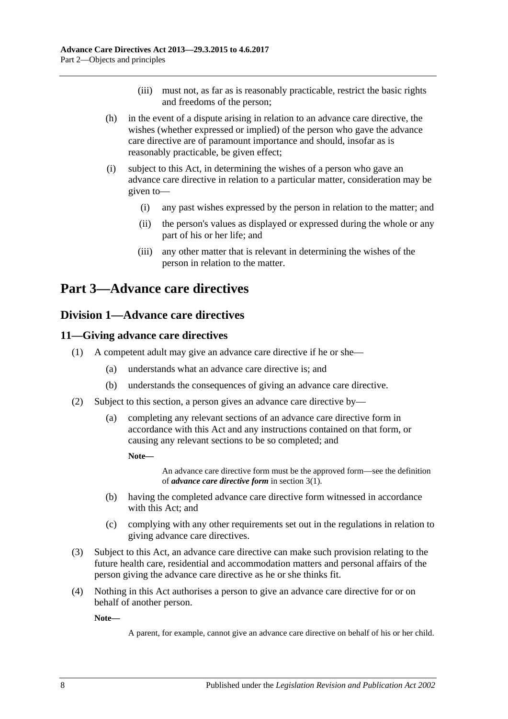- (iii) must not, as far as is reasonably practicable, restrict the basic rights and freedoms of the person;
- (h) in the event of a dispute arising in relation to an advance care directive, the wishes (whether expressed or implied) of the person who gave the advance care directive are of paramount importance and should, insofar as is reasonably practicable, be given effect;
- (i) subject to this Act, in determining the wishes of a person who gave an advance care directive in relation to a particular matter, consideration may be given to—
	- (i) any past wishes expressed by the person in relation to the matter; and
	- (ii) the person's values as displayed or expressed during the whole or any part of his or her life; and
	- (iii) any other matter that is relevant in determining the wishes of the person in relation to the matter.

## <span id="page-7-1"></span><span id="page-7-0"></span>**Part 3—Advance care directives**

## **Division 1—Advance care directives**

## <span id="page-7-2"></span>**11—Giving advance care directives**

- (1) A competent adult may give an advance care directive if he or she—
	- (a) understands what an advance care directive is; and
	- (b) understands the consequences of giving an advance care directive.
- (2) Subject to this section, a person gives an advance care directive by—
	- (a) completing any relevant sections of an advance care directive form in accordance with this Act and any instructions contained on that form, or causing any relevant sections to be so completed; and

**Note—**

An advance care directive form must be the approved form—see the definition of *advance care directive form* i[n section](#page-3-1) 3(1).

- (b) having the completed advance care directive form witnessed in accordance with this Act; and
- (c) complying with any other requirements set out in the regulations in relation to giving advance care directives.
- (3) Subject to this Act, an advance care directive can make such provision relating to the future health care, residential and accommodation matters and personal affairs of the person giving the advance care directive as he or she thinks fit.
- (4) Nothing in this Act authorises a person to give an advance care directive for or on behalf of another person.

**Note—**

A parent, for example, cannot give an advance care directive on behalf of his or her child.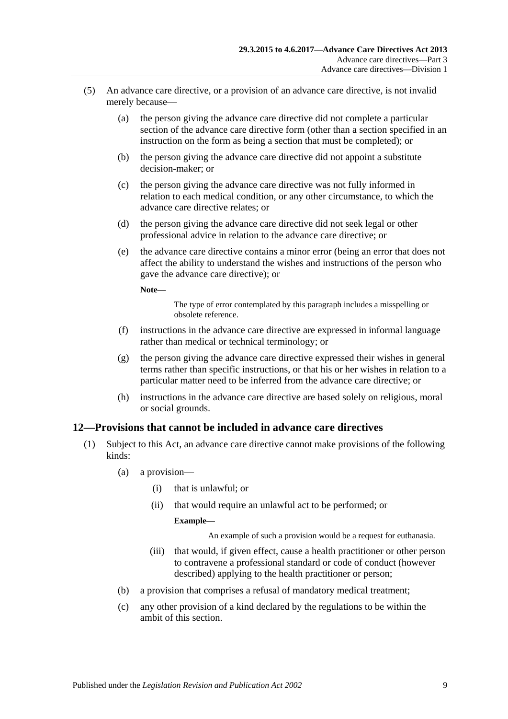- (5) An advance care directive, or a provision of an advance care directive, is not invalid merely because—
	- (a) the person giving the advance care directive did not complete a particular section of the advance care directive form (other than a section specified in an instruction on the form as being a section that must be completed); or
	- (b) the person giving the advance care directive did not appoint a substitute decision-maker; or
	- (c) the person giving the advance care directive was not fully informed in relation to each medical condition, or any other circumstance, to which the advance care directive relates; or
	- (d) the person giving the advance care directive did not seek legal or other professional advice in relation to the advance care directive; or
	- (e) the advance care directive contains a minor error (being an error that does not affect the ability to understand the wishes and instructions of the person who gave the advance care directive); or

**Note—**

The type of error contemplated by this paragraph includes a misspelling or obsolete reference.

- (f) instructions in the advance care directive are expressed in informal language rather than medical or technical terminology; or
- (g) the person giving the advance care directive expressed their wishes in general terms rather than specific instructions, or that his or her wishes in relation to a particular matter need to be inferred from the advance care directive; or
- (h) instructions in the advance care directive are based solely on religious, moral or social grounds.

## <span id="page-8-1"></span><span id="page-8-0"></span>**12—Provisions that cannot be included in advance care directives**

- (1) Subject to this Act, an advance care directive cannot make provisions of the following kinds:
	- (a) a provision—
		- (i) that is unlawful; or
		- (ii) that would require an unlawful act to be performed; or

#### **Example—**

An example of such a provision would be a request for euthanasia.

- (iii) that would, if given effect, cause a health practitioner or other person to contravene a professional standard or code of conduct (however described) applying to the health practitioner or person;
- <span id="page-8-2"></span>(b) a provision that comprises a refusal of mandatory medical treatment;
- (c) any other provision of a kind declared by the regulations to be within the ambit of this section.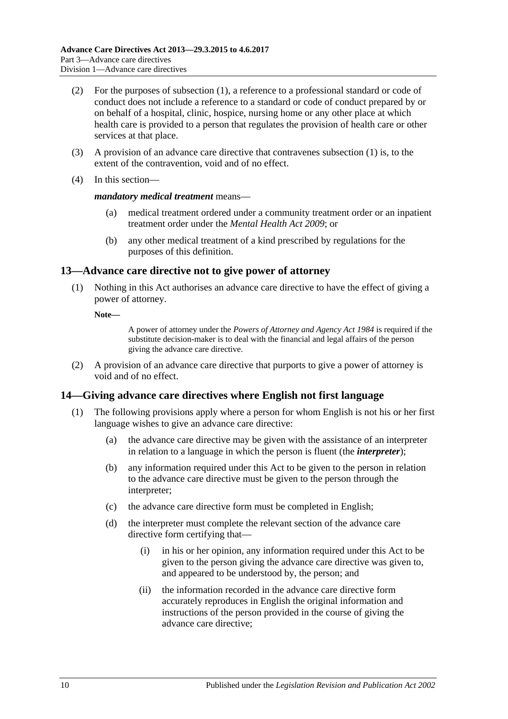- (2) For the purposes of [subsection](#page-8-1) (1), a reference to a professional standard or code of conduct does not include a reference to a standard or code of conduct prepared by or on behalf of a hospital, clinic, hospice, nursing home or any other place at which health care is provided to a person that regulates the provision of health care or other services at that place.
- (3) A provision of an advance care directive that contravenes [subsection](#page-8-1) (1) is, to the extent of the contravention, void and of no effect.
- (4) In this section—

#### *mandatory medical treatment* means—

- (a) medical treatment ordered under a community treatment order or an inpatient treatment order under the *[Mental Health Act](http://www.legislation.sa.gov.au/index.aspx?action=legref&type=act&legtitle=Mental%20Health%20Act%202009) 2009*; or
- (b) any other medical treatment of a kind prescribed by regulations for the purposes of this definition.

### <span id="page-9-0"></span>**13—Advance care directive not to give power of attorney**

(1) Nothing in this Act authorises an advance care directive to have the effect of giving a power of attorney.

**Note—**

A power of attorney under the *[Powers of Attorney and Agency Act](http://www.legislation.sa.gov.au/index.aspx?action=legref&type=act&legtitle=Powers%20of%20Attorney%20and%20Agency%20Act%201984) 1984* is required if the substitute decision-maker is to deal with the financial and legal affairs of the person giving the advance care directive.

(2) A provision of an advance care directive that purports to give a power of attorney is void and of no effect.

## <span id="page-9-1"></span>**14—Giving advance care directives where English not first language**

- (1) The following provisions apply where a person for whom English is not his or her first language wishes to give an advance care directive:
	- (a) the advance care directive may be given with the assistance of an interpreter in relation to a language in which the person is fluent (the *interpreter*);
	- (b) any information required under this Act to be given to the person in relation to the advance care directive must be given to the person through the interpreter;
	- (c) the advance care directive form must be completed in English;
	- (d) the interpreter must complete the relevant section of the advance care directive form certifying that—
		- (i) in his or her opinion, any information required under this Act to be given to the person giving the advance care directive was given to, and appeared to be understood by, the person; and
		- (ii) the information recorded in the advance care directive form accurately reproduces in English the original information and instructions of the person provided in the course of giving the advance care directive;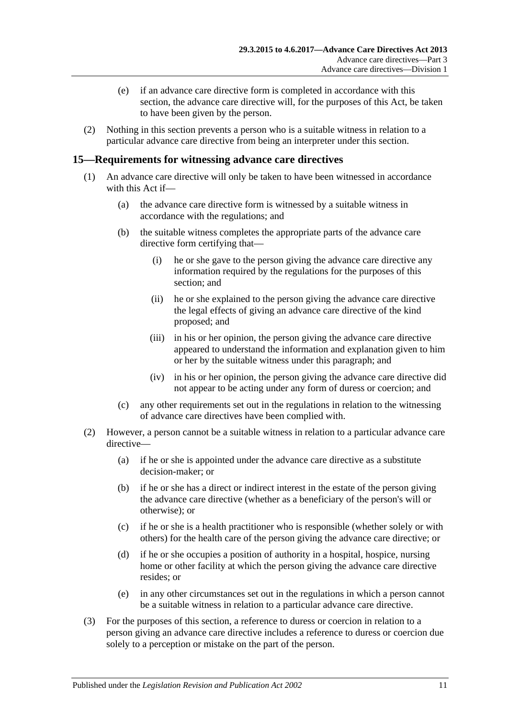- (e) if an advance care directive form is completed in accordance with this section, the advance care directive will, for the purposes of this Act, be taken to have been given by the person.
- (2) Nothing in this section prevents a person who is a suitable witness in relation to a particular advance care directive from being an interpreter under this section.

## <span id="page-10-0"></span>**15—Requirements for witnessing advance care directives**

- (1) An advance care directive will only be taken to have been witnessed in accordance with this Act if—
	- (a) the advance care directive form is witnessed by a suitable witness in accordance with the regulations; and
	- (b) the suitable witness completes the appropriate parts of the advance care directive form certifying that—
		- (i) he or she gave to the person giving the advance care directive any information required by the regulations for the purposes of this section; and
		- (ii) he or she explained to the person giving the advance care directive the legal effects of giving an advance care directive of the kind proposed; and
		- (iii) in his or her opinion, the person giving the advance care directive appeared to understand the information and explanation given to him or her by the suitable witness under this paragraph; and
		- (iv) in his or her opinion, the person giving the advance care directive did not appear to be acting under any form of duress or coercion; and
	- (c) any other requirements set out in the regulations in relation to the witnessing of advance care directives have been complied with.
- (2) However, a person cannot be a suitable witness in relation to a particular advance care directive—
	- (a) if he or she is appointed under the advance care directive as a substitute decision-maker; or
	- (b) if he or she has a direct or indirect interest in the estate of the person giving the advance care directive (whether as a beneficiary of the person's will or otherwise); or
	- (c) if he or she is a health practitioner who is responsible (whether solely or with others) for the health care of the person giving the advance care directive; or
	- (d) if he or she occupies a position of authority in a hospital, hospice, nursing home or other facility at which the person giving the advance care directive resides; or
	- (e) in any other circumstances set out in the regulations in which a person cannot be a suitable witness in relation to a particular advance care directive.
- (3) For the purposes of this section, a reference to duress or coercion in relation to a person giving an advance care directive includes a reference to duress or coercion due solely to a perception or mistake on the part of the person.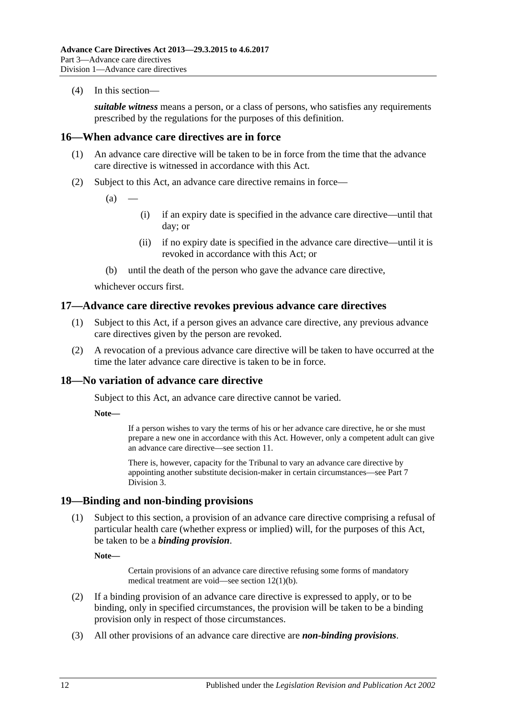(4) In this section—

*suitable witness* means a person, or a class of persons, who satisfies any requirements prescribed by the regulations for the purposes of this definition.

## <span id="page-11-0"></span>**16—When advance care directives are in force**

- (1) An advance care directive will be taken to be in force from the time that the advance care directive is witnessed in accordance with this Act.
- (2) Subject to this Act, an advance care directive remains in force—
	- $(a)$
- (i) if an expiry date is specified in the advance care directive—until that day; or
- (ii) if no expiry date is specified in the advance care directive—until it is revoked in accordance with this Act; or
- (b) until the death of the person who gave the advance care directive,

whichever occurs first.

### <span id="page-11-1"></span>**17—Advance care directive revokes previous advance care directives**

- (1) Subject to this Act, if a person gives an advance care directive, any previous advance care directives given by the person are revoked.
- (2) A revocation of a previous advance care directive will be taken to have occurred at the time the later advance care directive is taken to be in force.

## <span id="page-11-2"></span>**18—No variation of advance care directive**

Subject to this Act, an advance care directive cannot be varied.

**Note—**

If a person wishes to vary the terms of his or her advance care directive, he or she must prepare a new one in accordance with this Act. However, only a competent adult can give an advance care directive—see [section](#page-7-2) 11.

There is, however, capacity for the Tribunal to vary an advance care directive by appointing another substitute decision-maker in certain circumstances—see [Part](#page-22-2) 7 [Division](#page-22-2) 3.

#### <span id="page-11-3"></span>**19—Binding and non-binding provisions**

(1) Subject to this section, a provision of an advance care directive comprising a refusal of particular health care (whether express or implied) will, for the purposes of this Act, be taken to be a *binding provision*.

**Note—**

Certain provisions of an advance care directive refusing some forms of mandatory medical treatment are void—see section [12\(1\)\(b\).](#page-8-2)

- (2) If a binding provision of an advance care directive is expressed to apply, or to be binding, only in specified circumstances, the provision will be taken to be a binding provision only in respect of those circumstances.
- (3) All other provisions of an advance care directive are *non-binding provisions*.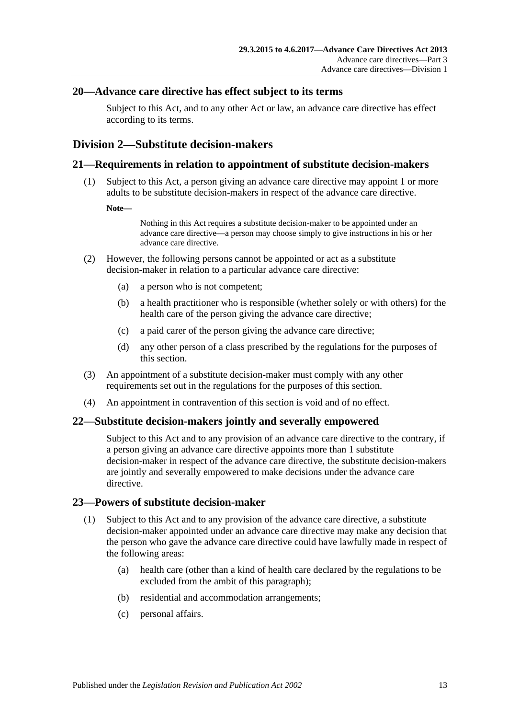## <span id="page-12-0"></span>**20—Advance care directive has effect subject to its terms**

Subject to this Act, and to any other Act or law, an advance care directive has effect according to its terms.

## <span id="page-12-1"></span>**Division 2—Substitute decision-makers**

#### <span id="page-12-2"></span>**21—Requirements in relation to appointment of substitute decision-makers**

(1) Subject to this Act, a person giving an advance care directive may appoint 1 or more adults to be substitute decision-makers in respect of the advance care directive.

#### **Note—**

Nothing in this Act requires a substitute decision-maker to be appointed under an advance care directive—a person may choose simply to give instructions in his or her advance care directive.

- <span id="page-12-6"></span>(2) However, the following persons cannot be appointed or act as a substitute decision-maker in relation to a particular advance care directive:
	- (a) a person who is not competent;
	- (b) a health practitioner who is responsible (whether solely or with others) for the health care of the person giving the advance care directive;
	- (c) a paid carer of the person giving the advance care directive;
	- (d) any other person of a class prescribed by the regulations for the purposes of this section.
- (3) An appointment of a substitute decision-maker must comply with any other requirements set out in the regulations for the purposes of this section.
- (4) An appointment in contravention of this section is void and of no effect.

#### <span id="page-12-3"></span>**22—Substitute decision-makers jointly and severally empowered**

Subject to this Act and to any provision of an advance care directive to the contrary, if a person giving an advance care directive appoints more than 1 substitute decision-maker in respect of the advance care directive, the substitute decision-makers are jointly and severally empowered to make decisions under the advance care directive.

## <span id="page-12-5"></span><span id="page-12-4"></span>**23—Powers of substitute decision-maker**

- (1) Subject to this Act and to any provision of the advance care directive, a substitute decision-maker appointed under an advance care directive may make any decision that the person who gave the advance care directive could have lawfully made in respect of the following areas:
	- (a) health care (other than a kind of health care declared by the regulations to be excluded from the ambit of this paragraph);
	- (b) residential and accommodation arrangements;
	- (c) personal affairs.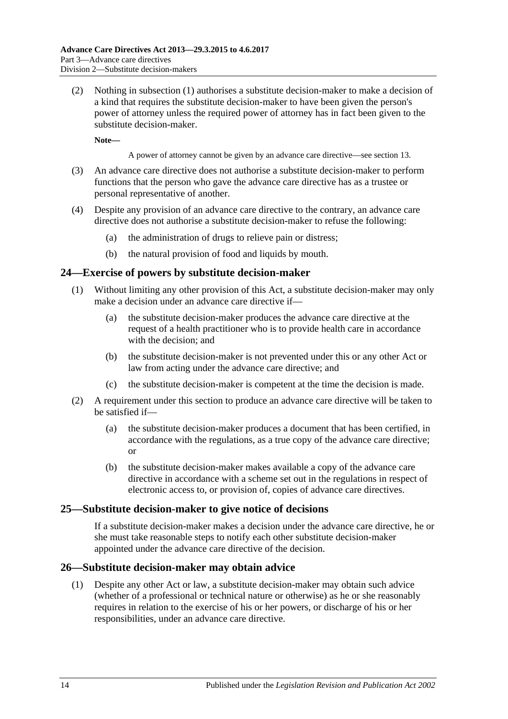(2) Nothing in [subsection](#page-12-5) (1) authorises a substitute decision-maker to make a decision of a kind that requires the substitute decision-maker to have been given the person's power of attorney unless the required power of attorney has in fact been given to the substitute decision-maker.

**Note—**

A power of attorney cannot be given by an advance care directive—se[e section](#page-9-0) 13.

- (3) An advance care directive does not authorise a substitute decision-maker to perform functions that the person who gave the advance care directive has as a trustee or personal representative of another.
- (4) Despite any provision of an advance care directive to the contrary, an advance care directive does not authorise a substitute decision-maker to refuse the following:
	- (a) the administration of drugs to relieve pain or distress;
	- (b) the natural provision of food and liquids by mouth.

### <span id="page-13-0"></span>**24—Exercise of powers by substitute decision-maker**

- (1) Without limiting any other provision of this Act, a substitute decision-maker may only make a decision under an advance care directive if—
	- (a) the substitute decision-maker produces the advance care directive at the request of a health practitioner who is to provide health care in accordance with the decision; and
	- (b) the substitute decision-maker is not prevented under this or any other Act or law from acting under the advance care directive; and
	- (c) the substitute decision-maker is competent at the time the decision is made.
- (2) A requirement under this section to produce an advance care directive will be taken to be satisfied if—
	- (a) the substitute decision-maker produces a document that has been certified, in accordance with the regulations, as a true copy of the advance care directive; or
	- (b) the substitute decision-maker makes available a copy of the advance care directive in accordance with a scheme set out in the regulations in respect of electronic access to, or provision of, copies of advance care directives.

## <span id="page-13-1"></span>**25—Substitute decision-maker to give notice of decisions**

If a substitute decision-maker makes a decision under the advance care directive, he or she must take reasonable steps to notify each other substitute decision-maker appointed under the advance care directive of the decision.

#### <span id="page-13-2"></span>**26—Substitute decision-maker may obtain advice**

(1) Despite any other Act or law, a substitute decision-maker may obtain such advice (whether of a professional or technical nature or otherwise) as he or she reasonably requires in relation to the exercise of his or her powers, or discharge of his or her responsibilities, under an advance care directive.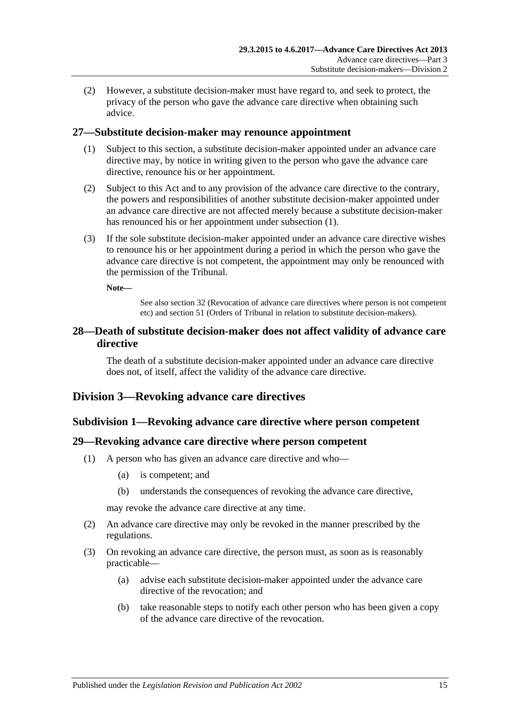(2) However, a substitute decision-maker must have regard to, and seek to protect, the privacy of the person who gave the advance care directive when obtaining such advice.

### <span id="page-14-5"></span><span id="page-14-0"></span>**27—Substitute decision-maker may renounce appointment**

- (1) Subject to this section, a substitute decision-maker appointed under an advance care directive may, by notice in writing given to the person who gave the advance care directive, renounce his or her appointment.
- (2) Subject to this Act and to any provision of the advance care directive to the contrary, the powers and responsibilities of another substitute decision-maker appointed under an advance care directive are not affected merely because a substitute decision-maker has renounced his or her appointment under [subsection](#page-14-5) (1).
- (3) If the sole substitute decision-maker appointed under an advance care directive wishes to renounce his or her appointment during a period in which the person who gave the advance care directive is not competent, the appointment may only be renounced with the permission of the Tribunal.

**Note—**

See also [section](#page-15-3) 32 (Revocation of advance care directives where person is not competent etc) and [section](#page-24-0) 51 (Orders of Tribunal in relation to substitute decision-makers).

## <span id="page-14-1"></span>**28—Death of substitute decision-maker does not affect validity of advance care directive**

The death of a substitute decision-maker appointed under an advance care directive does not, of itself, affect the validity of the advance care directive.

## <span id="page-14-3"></span><span id="page-14-2"></span>**Division 3—Revoking advance care directives**

#### **Subdivision 1—Revoking advance care directive where person competent**

#### <span id="page-14-4"></span>**29—Revoking advance care directive where person competent**

- (1) A person who has given an advance care directive and who—
	- (a) is competent; and
	- (b) understands the consequences of revoking the advance care directive,

may revoke the advance care directive at any time.

- (2) An advance care directive may only be revoked in the manner prescribed by the regulations.
- (3) On revoking an advance care directive, the person must, as soon as is reasonably practicable—
	- (a) advise each substitute decision-maker appointed under the advance care directive of the revocation; and
	- (b) take reasonable steps to notify each other person who has been given a copy of the advance care directive of the revocation.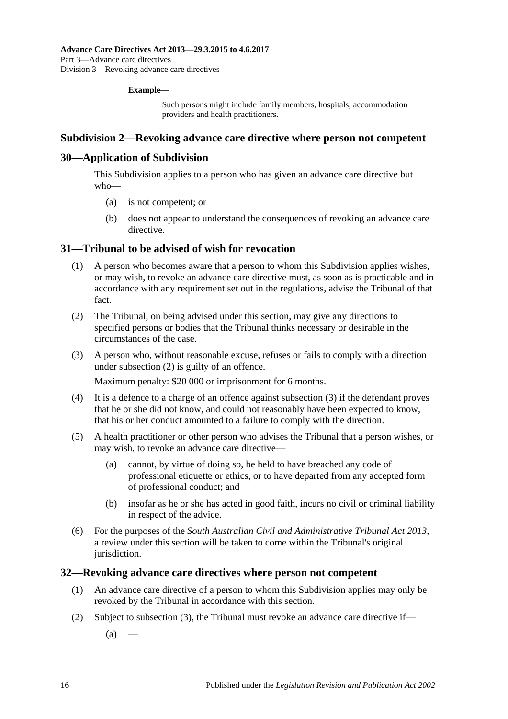#### **Example—**

Such persons might include family members, hospitals, accommodation providers and health practitioners.

#### <span id="page-15-0"></span>**Subdivision 2—Revoking advance care directive where person not competent**

## <span id="page-15-1"></span>**30—Application of Subdivision**

This Subdivision applies to a person who has given an advance care directive but who—

- (a) is not competent; or
- (b) does not appear to understand the consequences of revoking an advance care directive.

### <span id="page-15-2"></span>**31—Tribunal to be advised of wish for revocation**

- (1) A person who becomes aware that a person to whom this Subdivision applies wishes, or may wish, to revoke an advance care directive must, as soon as is practicable and in accordance with any requirement set out in the regulations, advise the Tribunal of that fact.
- <span id="page-15-4"></span>(2) The Tribunal, on being advised under this section, may give any directions to specified persons or bodies that the Tribunal thinks necessary or desirable in the circumstances of the case.
- <span id="page-15-5"></span>(3) A person who, without reasonable excuse, refuses or fails to comply with a direction under [subsection](#page-15-4) (2) is guilty of an offence.

Maximum penalty: \$20 000 or imprisonment for 6 months.

- (4) It is a defence to a charge of an offence against [subsection](#page-15-5) (3) if the defendant proves that he or she did not know, and could not reasonably have been expected to know, that his or her conduct amounted to a failure to comply with the direction.
- (5) A health practitioner or other person who advises the Tribunal that a person wishes, or may wish, to revoke an advance care directive—
	- (a) cannot, by virtue of doing so, be held to have breached any code of professional etiquette or ethics, or to have departed from any accepted form of professional conduct; and
	- (b) insofar as he or she has acted in good faith, incurs no civil or criminal liability in respect of the advice.
- (6) For the purposes of the *[South Australian Civil and Administrative Tribunal Act](http://www.legislation.sa.gov.au/index.aspx?action=legref&type=act&legtitle=South%20Australian%20Civil%20and%20Administrative%20Tribunal%20Act%202013) 2013*, a review under this section will be taken to come within the Tribunal's original jurisdiction.

#### <span id="page-15-6"></span><span id="page-15-3"></span>**32—Revoking advance care directives where person not competent**

- (1) An advance care directive of a person to whom this Subdivision applies may only be revoked by the Tribunal in accordance with this section.
- (2) Subject to [subsection](#page-16-2) (3), the Tribunal must revoke an advance care directive if—
	- $(a)$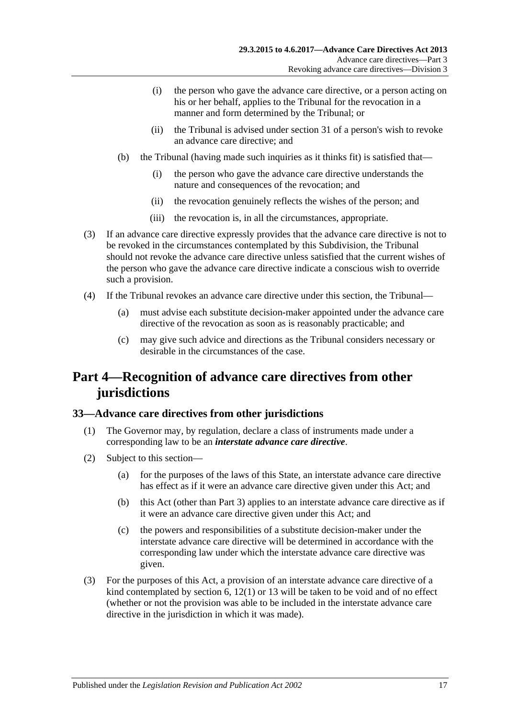- (i) the person who gave the advance care directive, or a person acting on his or her behalf, applies to the Tribunal for the revocation in a manner and form determined by the Tribunal; or
- (ii) the Tribunal is advised under [section](#page-15-2) 31 of a person's wish to revoke an advance care directive; and
- (b) the Tribunal (having made such inquiries as it thinks fit) is satisfied that—
	- (i) the person who gave the advance care directive understands the nature and consequences of the revocation; and
	- (ii) the revocation genuinely reflects the wishes of the person; and
	- (iii) the revocation is, in all the circumstances, appropriate.
- <span id="page-16-2"></span>(3) If an advance care directive expressly provides that the advance care directive is not to be revoked in the circumstances contemplated by this Subdivision, the Tribunal should not revoke the advance care directive unless satisfied that the current wishes of the person who gave the advance care directive indicate a conscious wish to override such a provision.
- (4) If the Tribunal revokes an advance care directive under this section, the Tribunal—
	- (a) must advise each substitute decision-maker appointed under the advance care directive of the revocation as soon as is reasonably practicable; and
	- (c) may give such advice and directions as the Tribunal considers necessary or desirable in the circumstances of the case.

## <span id="page-16-0"></span>**Part 4—Recognition of advance care directives from other jurisdictions**

## <span id="page-16-1"></span>**33—Advance care directives from other jurisdictions**

- (1) The Governor may, by regulation, declare a class of instruments made under a corresponding law to be an *interstate advance care directive*.
- (2) Subject to this section—
	- (a) for the purposes of the laws of this State, an interstate advance care directive has effect as if it were an advance care directive given under this Act; and
	- (b) this Act (other than [Part](#page-7-0) 3) applies to an interstate advance care directive as if it were an advance care directive given under this Act; and
	- (c) the powers and responsibilities of a substitute decision-maker under the interstate advance care directive will be determined in accordance with the corresponding law under which the interstate advance care directive was given.
- (3) For the purposes of this Act, a provision of an interstate advance care directive of a kind contemplated by [section](#page-4-2)  $6, 12(1)$  $6, 12(1)$  or [13](#page-9-0) will be taken to be void and of no effect (whether or not the provision was able to be included in the interstate advance care directive in the jurisdiction in which it was made).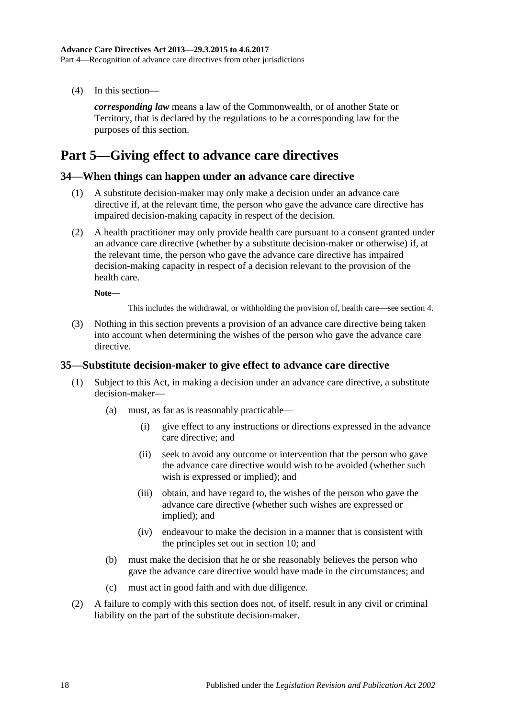(4) In this section—

*corresponding law* means a law of the Commonwealth, or of another State or Territory, that is declared by the regulations to be a corresponding law for the purposes of this section.

## <span id="page-17-0"></span>**Part 5—Giving effect to advance care directives**

### <span id="page-17-1"></span>**34—When things can happen under an advance care directive**

- (1) A substitute decision-maker may only make a decision under an advance care directive if, at the relevant time, the person who gave the advance care directive has impaired decision-making capacity in respect of the decision.
- (2) A health practitioner may only provide health care pursuant to a consent granted under an advance care directive (whether by a substitute decision-maker or otherwise) if, at the relevant time, the person who gave the advance care directive has impaired decision-making capacity in respect of a decision relevant to the provision of the health care.

**Note—**

This includes the withdrawal, or withholding the provision of, health care—see [section](#page-4-0) 4.

(3) Nothing in this section prevents a provision of an advance care directive being taken into account when determining the wishes of the person who gave the advance care directive.

#### <span id="page-17-2"></span>**35—Substitute decision-maker to give effect to advance care directive**

- (1) Subject to this Act, in making a decision under an advance care directive, a substitute decision-maker—
	- (a) must, as far as is reasonably practicable—
		- (i) give effect to any instructions or directions expressed in the advance care directive; and
		- (ii) seek to avoid any outcome or intervention that the person who gave the advance care directive would wish to be avoided (whether such wish is expressed or implied); and
		- (iii) obtain, and have regard to, the wishes of the person who gave the advance care directive (whether such wishes are expressed or implied); and
		- (iv) endeavour to make the decision in a manner that is consistent with the principles set out in [section](#page-6-0) 10; and
	- (b) must make the decision that he or she reasonably believes the person who gave the advance care directive would have made in the circumstances; and
	- (c) must act in good faith and with due diligence.
- (2) A failure to comply with this section does not, of itself, result in any civil or criminal liability on the part of the substitute decision-maker.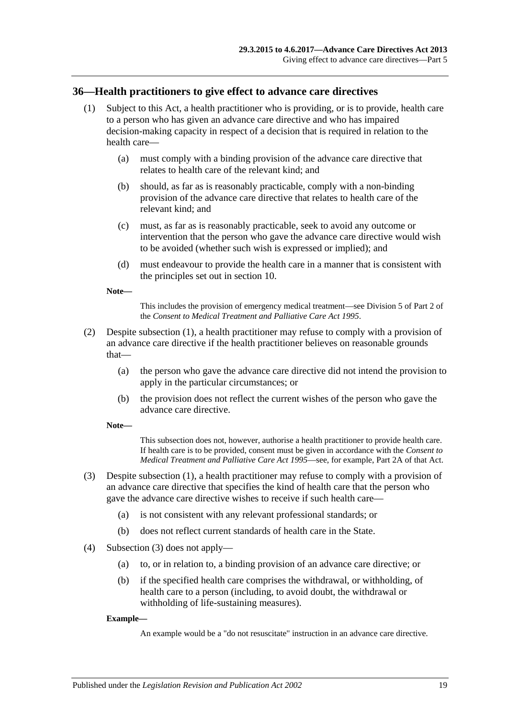## <span id="page-18-1"></span><span id="page-18-0"></span>**36—Health practitioners to give effect to advance care directives**

- (1) Subject to this Act, a health practitioner who is providing, or is to provide, health care to a person who has given an advance care directive and who has impaired decision-making capacity in respect of a decision that is required in relation to the health care—
	- (a) must comply with a binding provision of the advance care directive that relates to health care of the relevant kind; and
	- (b) should, as far as is reasonably practicable, comply with a non-binding provision of the advance care directive that relates to health care of the relevant kind; and
	- (c) must, as far as is reasonably practicable, seek to avoid any outcome or intervention that the person who gave the advance care directive would wish to be avoided (whether such wish is expressed or implied); and
	- (d) must endeavour to provide the health care in a manner that is consistent with the principles set out in [section](#page-6-0) 10.

**Note—**

This includes the provision of emergency medical treatment—see Division 5 of Part 2 of the *[Consent to Medical Treatment and Palliative Care Act](http://www.legislation.sa.gov.au/index.aspx?action=legref&type=act&legtitle=Consent%20to%20Medical%20Treatment%20and%20Palliative%20Care%20Act%201995) 1995*.

- (2) Despite [subsection](#page-18-1) (1), a health practitioner may refuse to comply with a provision of an advance care directive if the health practitioner believes on reasonable grounds that—
	- (a) the person who gave the advance care directive did not intend the provision to apply in the particular circumstances; or
	- (b) the provision does not reflect the current wishes of the person who gave the advance care directive.

**Note—**

This subsection does not, however, authorise a health practitioner to provide health care. If health care is to be provided, consent must be given in accordance with the *[Consent to](http://www.legislation.sa.gov.au/index.aspx?action=legref&type=act&legtitle=Consent%20to%20Medical%20Treatment%20and%20Palliative%20Care%20Act%201995)  [Medical Treatment and Palliative Care Act](http://www.legislation.sa.gov.au/index.aspx?action=legref&type=act&legtitle=Consent%20to%20Medical%20Treatment%20and%20Palliative%20Care%20Act%201995) 1995*—see, for example, Part 2A of that Act.

- <span id="page-18-2"></span>(3) Despite [subsection](#page-18-1) (1), a health practitioner may refuse to comply with a provision of an advance care directive that specifies the kind of health care that the person who gave the advance care directive wishes to receive if such health care—
	- (a) is not consistent with any relevant professional standards; or
	- (b) does not reflect current standards of health care in the State.
- (4) [Subsection](#page-18-2) (3) does not apply—
	- (a) to, or in relation to, a binding provision of an advance care directive; or
	- (b) if the specified health care comprises the withdrawal, or withholding, of health care to a person (including, to avoid doubt, the withdrawal or withholding of life-sustaining measures).

#### **Example—**

An example would be a "do not resuscitate" instruction in an advance care directive.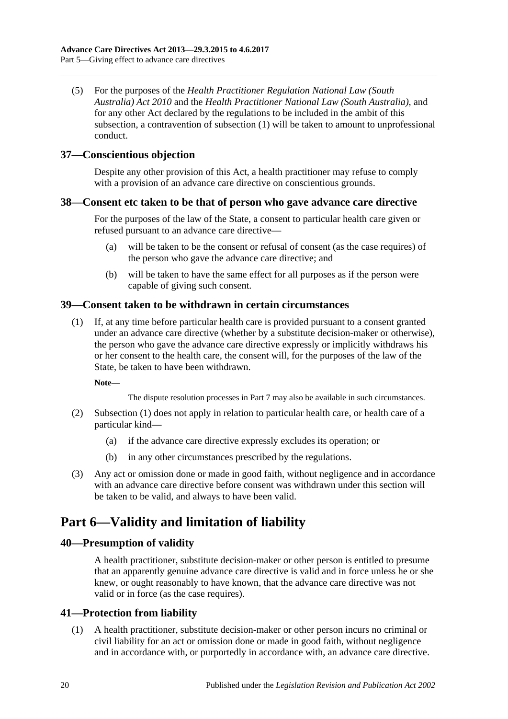(5) For the purposes of the *[Health Practitioner Regulation National Law \(South](http://www.legislation.sa.gov.au/index.aspx?action=legref&type=act&legtitle=Health%20Practitioner%20Regulation%20National%20Law%20(South%20Australia)%20Act%202010)  [Australia\) Act](http://www.legislation.sa.gov.au/index.aspx?action=legref&type=act&legtitle=Health%20Practitioner%20Regulation%20National%20Law%20(South%20Australia)%20Act%202010) 2010* and the *[Health Practitioner National Law](http://www.legislation.sa.gov.au/index.aspx?action=legref&type=act&legtitle=Health%20Practitioner%20National%20Law%20(South%20Australia)) (South Australia)*, and for any other Act declared by the regulations to be included in the ambit of this subsection, a contravention of [subsection](#page-18-1) (1) will be taken to amount to unprofessional conduct.

## <span id="page-19-0"></span>**37—Conscientious objection**

Despite any other provision of this Act, a health practitioner may refuse to comply with a provision of an advance care directive on conscientious grounds.

## <span id="page-19-1"></span>**38—Consent etc taken to be that of person who gave advance care directive**

For the purposes of the law of the State, a consent to particular health care given or refused pursuant to an advance care directive—

- (a) will be taken to be the consent or refusal of consent (as the case requires) of the person who gave the advance care directive; and
- (b) will be taken to have the same effect for all purposes as if the person were capable of giving such consent.

## <span id="page-19-6"></span><span id="page-19-2"></span>**39—Consent taken to be withdrawn in certain circumstances**

(1) If, at any time before particular health care is provided pursuant to a consent granted under an advance care directive (whether by a substitute decision-maker or otherwise), the person who gave the advance care directive expressly or implicitly withdraws his or her consent to the health care, the consent will, for the purposes of the law of the State, be taken to have been withdrawn.

**Note—**

The dispute resolution processes in [Part](#page-20-1) 7 may also be available in such circumstances.

- (2) [Subsection](#page-19-6) (1) does not apply in relation to particular health care, or health care of a particular kind—
	- (a) if the advance care directive expressly excludes its operation; or
	- (b) in any other circumstances prescribed by the regulations.
- (3) Any act or omission done or made in good faith, without negligence and in accordance with an advance care directive before consent was withdrawn under this section will be taken to be valid, and always to have been valid.

## <span id="page-19-3"></span>**Part 6—Validity and limitation of liability**

## <span id="page-19-4"></span>**40—Presumption of validity**

A health practitioner, substitute decision-maker or other person is entitled to presume that an apparently genuine advance care directive is valid and in force unless he or she knew, or ought reasonably to have known, that the advance care directive was not valid or in force (as the case requires).

## <span id="page-19-5"></span>**41—Protection from liability**

(1) A health practitioner, substitute decision-maker or other person incurs no criminal or civil liability for an act or omission done or made in good faith, without negligence and in accordance with, or purportedly in accordance with, an advance care directive.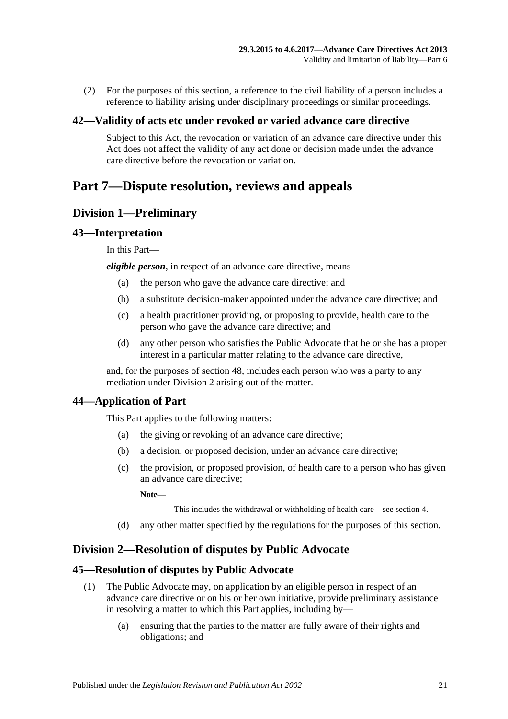(2) For the purposes of this section, a reference to the civil liability of a person includes a reference to liability arising under disciplinary proceedings or similar proceedings.

### <span id="page-20-0"></span>**42—Validity of acts etc under revoked or varied advance care directive**

Subject to this Act, the revocation or variation of an advance care directive under this Act does not affect the validity of any act done or decision made under the advance care directive before the revocation or variation.

## <span id="page-20-1"></span>**Part 7—Dispute resolution, reviews and appeals**

## <span id="page-20-2"></span>**Division 1—Preliminary**

### <span id="page-20-3"></span>**43—Interpretation**

In this Part—

*eligible person*, in respect of an advance care directive, means—

- (a) the person who gave the advance care directive; and
- (b) a substitute decision-maker appointed under the advance care directive; and
- (c) a health practitioner providing, or proposing to provide, health care to the person who gave the advance care directive; and
- (d) any other person who satisfies the Public Advocate that he or she has a proper interest in a particular matter relating to the advance care directive,

and, for the purposes of [section](#page-22-4) 48, includes each person who was a party to any mediation under [Division](#page-20-5) 2 arising out of the matter.

## <span id="page-20-4"></span>**44—Application of Part**

This Part applies to the following matters:

- (a) the giving or revoking of an advance care directive;
- (b) a decision, or proposed decision, under an advance care directive;
- (c) the provision, or proposed provision, of health care to a person who has given an advance care directive;

**Note—**

This includes the withdrawal or withholding of health care—see [section](#page-4-0) 4.

(d) any other matter specified by the regulations for the purposes of this section.

## <span id="page-20-5"></span>**Division 2—Resolution of disputes by Public Advocate**

## <span id="page-20-6"></span>**45—Resolution of disputes by Public Advocate**

- (1) The Public Advocate may, on application by an eligible person in respect of an advance care directive or on his or her own initiative, provide preliminary assistance in resolving a matter to which this Part applies, including by—
	- (a) ensuring that the parties to the matter are fully aware of their rights and obligations; and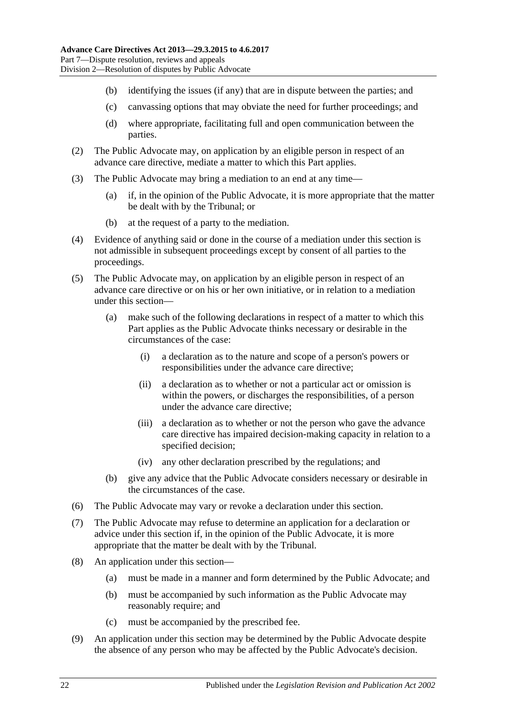- (b) identifying the issues (if any) that are in dispute between the parties; and
- (c) canvassing options that may obviate the need for further proceedings; and
- (d) where appropriate, facilitating full and open communication between the parties.
- (2) The Public Advocate may, on application by an eligible person in respect of an advance care directive, mediate a matter to which this Part applies.
- (3) The Public Advocate may bring a mediation to an end at any time—
	- (a) if, in the opinion of the Public Advocate, it is more appropriate that the matter be dealt with by the Tribunal; or
	- (b) at the request of a party to the mediation.
- (4) Evidence of anything said or done in the course of a mediation under this section is not admissible in subsequent proceedings except by consent of all parties to the proceedings.
- <span id="page-21-0"></span>(5) The Public Advocate may, on application by an eligible person in respect of an advance care directive or on his or her own initiative, or in relation to a mediation under this section—
	- (a) make such of the following declarations in respect of a matter to which this Part applies as the Public Advocate thinks necessary or desirable in the circumstances of the case:
		- (i) a declaration as to the nature and scope of a person's powers or responsibilities under the advance care directive;
		- (ii) a declaration as to whether or not a particular act or omission is within the powers, or discharges the responsibilities, of a person under the advance care directive;
		- (iii) a declaration as to whether or not the person who gave the advance care directive has impaired decision-making capacity in relation to a specified decision;
		- (iv) any other declaration prescribed by the regulations; and
	- (b) give any advice that the Public Advocate considers necessary or desirable in the circumstances of the case.
- <span id="page-21-1"></span>(6) The Public Advocate may vary or revoke a declaration under this section.
- (7) The Public Advocate may refuse to determine an application for a declaration or advice under this section if, in the opinion of the Public Advocate, it is more appropriate that the matter be dealt with by the Tribunal.
- (8) An application under this section—
	- (a) must be made in a manner and form determined by the Public Advocate; and
	- (b) must be accompanied by such information as the Public Advocate may reasonably require; and
	- (c) must be accompanied by the prescribed fee.
- (9) An application under this section may be determined by the Public Advocate despite the absence of any person who may be affected by the Public Advocate's decision.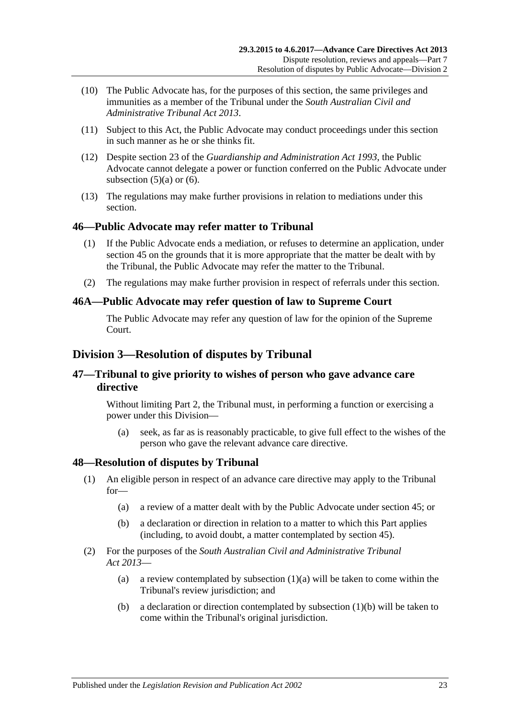- (10) The Public Advocate has, for the purposes of this section, the same privileges and immunities as a member of the Tribunal under the *[South Australian Civil and](http://www.legislation.sa.gov.au/index.aspx?action=legref&type=act&legtitle=South%20Australian%20Civil%20and%20Administrative%20Tribunal%20Act%202013)  [Administrative Tribunal Act](http://www.legislation.sa.gov.au/index.aspx?action=legref&type=act&legtitle=South%20Australian%20Civil%20and%20Administrative%20Tribunal%20Act%202013) 2013*.
- (11) Subject to this Act, the Public Advocate may conduct proceedings under this section in such manner as he or she thinks fit.
- (12) Despite section 23 of the *[Guardianship and Administration Act](http://www.legislation.sa.gov.au/index.aspx?action=legref&type=act&legtitle=Guardianship%20and%20Administration%20Act%201993) 1993*, the Public Advocate cannot delegate a power or function conferred on the Public Advocate under [subsection](#page-21-0)  $(5)(a)$  or  $(6)$ .
- (13) The regulations may make further provisions in relation to mediations under this section.

### <span id="page-22-0"></span>**46—Public Advocate may refer matter to Tribunal**

- (1) If the Public Advocate ends a mediation, or refuses to determine an application, under [section](#page-20-6) 45 on the grounds that it is more appropriate that the matter be dealt with by the Tribunal, the Public Advocate may refer the matter to the Tribunal.
- (2) The regulations may make further provision in respect of referrals under this section.

#### <span id="page-22-1"></span>**46A—Public Advocate may refer question of law to Supreme Court**

The Public Advocate may refer any question of law for the opinion of the Supreme Court.

## <span id="page-22-2"></span>**Division 3—Resolution of disputes by Tribunal**

### <span id="page-22-3"></span>**47—Tribunal to give priority to wishes of person who gave advance care directive**

Without limiting [Part](#page-5-2) 2, the Tribunal must, in performing a function or exercising a power under this Division—

(a) seek, as far as is reasonably practicable, to give full effect to the wishes of the person who gave the relevant advance care directive.

#### <span id="page-22-4"></span>**48—Resolution of disputes by Tribunal**

- <span id="page-22-5"></span>(1) An eligible person in respect of an advance care directive may apply to the Tribunal for—
	- (a) a review of a matter dealt with by the Public Advocate under [section](#page-20-6) 45; or
	- (b) a declaration or direction in relation to a matter to which this Part applies (including, to avoid doubt, a matter contemplated by [section](#page-20-6) 45).
- <span id="page-22-6"></span>(2) For the purposes of the *[South Australian Civil and Administrative Tribunal](http://www.legislation.sa.gov.au/index.aspx?action=legref&type=act&legtitle=South%20Australian%20Civil%20and%20Administrative%20Tribunal%20Act%202013)  Act [2013](http://www.legislation.sa.gov.au/index.aspx?action=legref&type=act&legtitle=South%20Australian%20Civil%20and%20Administrative%20Tribunal%20Act%202013)*
	- (a) a review contemplated by [subsection](#page-22-5)  $(1)(a)$  will be taken to come within the Tribunal's review jurisdiction; and
	- (b) a declaration or direction contemplated by [subsection](#page-22-6) (1)(b) will be taken to come within the Tribunal's original jurisdiction.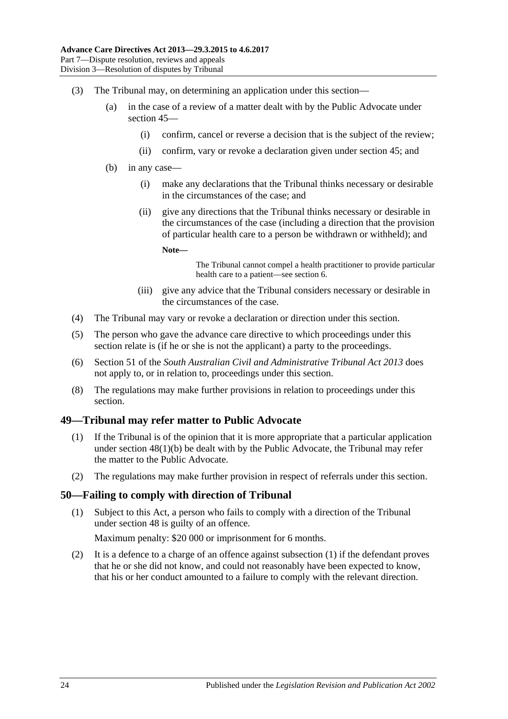- (3) The Tribunal may, on determining an application under this section—
	- (a) in the case of a review of a matter dealt with by the Public Advocate under [section](#page-20-6) 45—
		- (i) confirm, cancel or reverse a decision that is the subject of the review;
		- (ii) confirm, vary or revoke a declaration given under [section](#page-20-6) 45; and
	- (b) in any case—
		- (i) make any declarations that the Tribunal thinks necessary or desirable in the circumstances of the case; and
		- (ii) give any directions that the Tribunal thinks necessary or desirable in the circumstances of the case (including a direction that the provision of particular health care to a person be withdrawn or withheld); and

**Note—**

The Tribunal cannot compel a health practitioner to provide particular health care to a patient—se[e section](#page-4-2) 6.

- (iii) give any advice that the Tribunal considers necessary or desirable in the circumstances of the case.
- (4) The Tribunal may vary or revoke a declaration or direction under this section.
- (5) The person who gave the advance care directive to which proceedings under this section relate is (if he or she is not the applicant) a party to the proceedings.
- (6) Section 51 of the *[South Australian Civil and Administrative Tribunal Act](http://www.legislation.sa.gov.au/index.aspx?action=legref&type=act&legtitle=South%20Australian%20Civil%20and%20Administrative%20Tribunal%20Act%202013) 2013* does not apply to, or in relation to, proceedings under this section.
- (8) The regulations may make further provisions in relation to proceedings under this section.

#### <span id="page-23-0"></span>**49—Tribunal may refer matter to Public Advocate**

- (1) If the Tribunal is of the opinion that it is more appropriate that a particular application under section [48\(1\)\(b\)](#page-22-6) be dealt with by the Public Advocate, the Tribunal may refer the matter to the Public Advocate.
- (2) The regulations may make further provision in respect of referrals under this section.

#### <span id="page-23-2"></span><span id="page-23-1"></span>**50—Failing to comply with direction of Tribunal**

(1) Subject to this Act, a person who fails to comply with a direction of the Tribunal under [section](#page-22-4) 48 is guilty of an offence.

Maximum penalty: \$20 000 or imprisonment for 6 months.

(2) It is a defence to a charge of an offence against [subsection](#page-23-2) (1) if the defendant proves that he or she did not know, and could not reasonably have been expected to know, that his or her conduct amounted to a failure to comply with the relevant direction.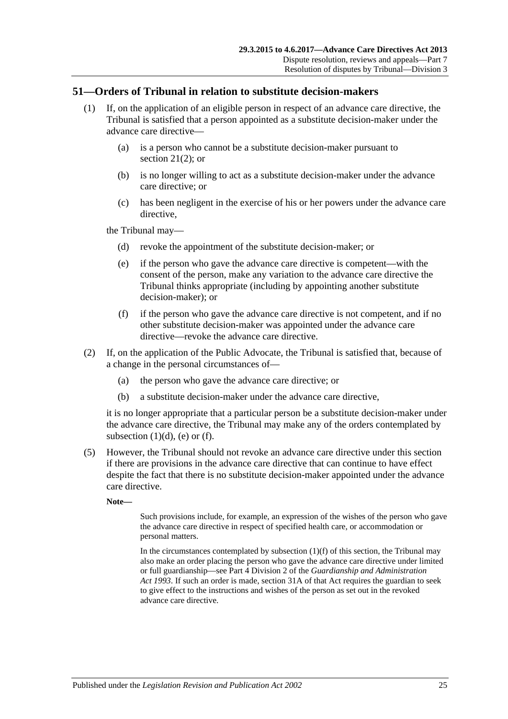## <span id="page-24-0"></span>**51—Orders of Tribunal in relation to substitute decision-makers**

- (1) If, on the application of an eligible person in respect of an advance care directive, the Tribunal is satisfied that a person appointed as a substitute decision-maker under the advance care directive—
	- (a) is a person who cannot be a substitute decision-maker pursuant to [section](#page-12-6)  $21(2)$ ; or
	- (b) is no longer willing to act as a substitute decision-maker under the advance care directive; or
	- (c) has been negligent in the exercise of his or her powers under the advance care directive.

<span id="page-24-2"></span><span id="page-24-1"></span>the Tribunal may—

- (d) revoke the appointment of the substitute decision-maker; or
- (e) if the person who gave the advance care directive is competent—with the consent of the person, make any variation to the advance care directive the Tribunal thinks appropriate (including by appointing another substitute decision-maker); or
- (f) if the person who gave the advance care directive is not competent, and if no other substitute decision-maker was appointed under the advance care directive—revoke the advance care directive.
- <span id="page-24-3"></span>(2) If, on the application of the Public Advocate, the Tribunal is satisfied that, because of a change in the personal circumstances of—
	- (a) the person who gave the advance care directive; or
	- (b) a substitute decision-maker under the advance care directive,

it is no longer appropriate that a particular person be a substitute decision-maker under the advance care directive, the Tribunal may make any of the orders contemplated by [subsection](#page-24-1)  $(1)(d)$ ,  $(e)$  or  $(f)$ .

(5) However, the Tribunal should not revoke an advance care directive under this section if there are provisions in the advance care directive that can continue to have effect despite the fact that there is no substitute decision-maker appointed under the advance care directive.

**Note—**

Such provisions include, for example, an expression of the wishes of the person who gave the advance care directive in respect of specified health care, or accommodation or personal matters.

In the circumstances contemplated by [subsection](#page-24-3) (1)(f) of this section, the Tribunal may also make an order placing the person who gave the advance care directive under limited or full guardianship—see Part 4 Division 2 of the *[Guardianship and Administration](http://www.legislation.sa.gov.au/index.aspx?action=legref&type=act&legtitle=Guardianship%20and%20Administration%20Act%201993)  Act [1993](http://www.legislation.sa.gov.au/index.aspx?action=legref&type=act&legtitle=Guardianship%20and%20Administration%20Act%201993)*. If such an order is made, section 31A of that Act requires the guardian to seek to give effect to the instructions and wishes of the person as set out in the revoked advance care directive.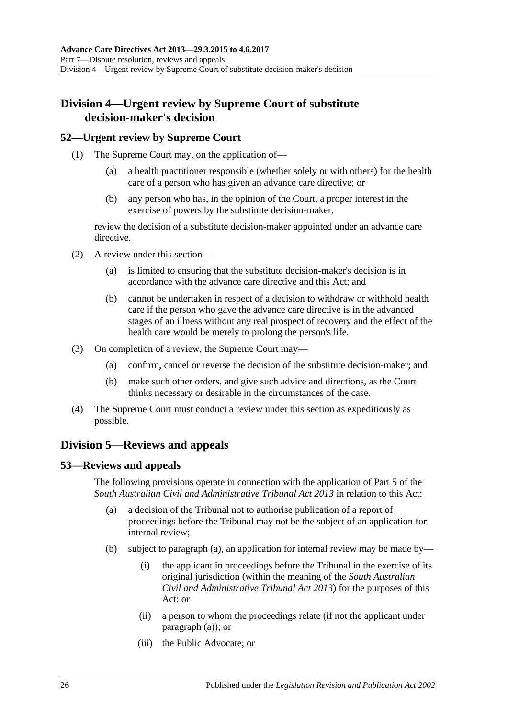## <span id="page-25-0"></span>**Division 4—Urgent review by Supreme Court of substitute decision-maker's decision**

## <span id="page-25-1"></span>**52—Urgent review by Supreme Court**

- (1) The Supreme Court may, on the application of—
	- (a) a health practitioner responsible (whether solely or with others) for the health care of a person who has given an advance care directive; or
	- (b) any person who has, in the opinion of the Court, a proper interest in the exercise of powers by the substitute decision-maker,

review the decision of a substitute decision-maker appointed under an advance care directive.

- (2) A review under this section—
	- (a) is limited to ensuring that the substitute decision-maker's decision is in accordance with the advance care directive and this Act; and
	- (b) cannot be undertaken in respect of a decision to withdraw or withhold health care if the person who gave the advance care directive is in the advanced stages of an illness without any real prospect of recovery and the effect of the health care would be merely to prolong the person's life.
- (3) On completion of a review, the Supreme Court may—
	- (a) confirm, cancel or reverse the decision of the substitute decision-maker; and
	- (b) make such other orders, and give such advice and directions, as the Court thinks necessary or desirable in the circumstances of the case.
- (4) The Supreme Court must conduct a review under this section as expeditiously as possible.

## <span id="page-25-2"></span>**Division 5—Reviews and appeals**

## <span id="page-25-4"></span><span id="page-25-3"></span>**53—Reviews and appeals**

The following provisions operate in connection with the application of Part 5 of the *[South Australian Civil and Administrative Tribunal Act](http://www.legislation.sa.gov.au/index.aspx?action=legref&type=act&legtitle=South%20Australian%20Civil%20and%20Administrative%20Tribunal%20Act%202013) 2013* in relation to this Act:

- (a) a decision of the Tribunal not to authorise publication of a report of proceedings before the Tribunal may not be the subject of an application for internal review;
- (b) subject to [paragraph](#page-25-4) (a), an application for internal review may be made by—
	- (i) the applicant in proceedings before the Tribunal in the exercise of its original jurisdiction (within the meaning of the *[South Australian](http://www.legislation.sa.gov.au/index.aspx?action=legref&type=act&legtitle=South%20Australian%20Civil%20and%20Administrative%20Tribunal%20Act%202013)  [Civil and Administrative Tribunal Act](http://www.legislation.sa.gov.au/index.aspx?action=legref&type=act&legtitle=South%20Australian%20Civil%20and%20Administrative%20Tribunal%20Act%202013) 2013*) for the purposes of this Act; or
	- (ii) a person to whom the proceedings relate (if not the applicant under [paragraph](#page-25-4) (a)); or
	- (iii) the Public Advocate; or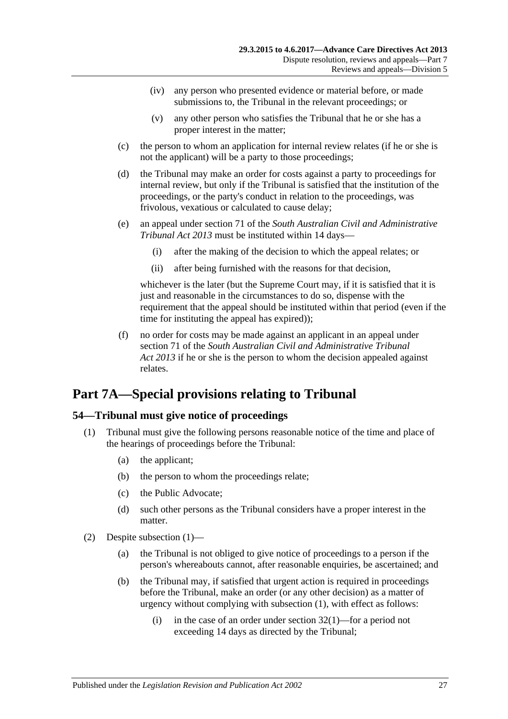- (iv) any person who presented evidence or material before, or made submissions to, the Tribunal in the relevant proceedings; or
- (v) any other person who satisfies the Tribunal that he or she has a proper interest in the matter;
- (c) the person to whom an application for internal review relates (if he or she is not the applicant) will be a party to those proceedings;
- (d) the Tribunal may make an order for costs against a party to proceedings for internal review, but only if the Tribunal is satisfied that the institution of the proceedings, or the party's conduct in relation to the proceedings, was frivolous, vexatious or calculated to cause delay;
- (e) an appeal under section 71 of the *[South Australian Civil and Administrative](http://www.legislation.sa.gov.au/index.aspx?action=legref&type=act&legtitle=South%20Australian%20Civil%20and%20Administrative%20Tribunal%20Act%202013)  [Tribunal Act](http://www.legislation.sa.gov.au/index.aspx?action=legref&type=act&legtitle=South%20Australian%20Civil%20and%20Administrative%20Tribunal%20Act%202013) 2013* must be instituted within 14 days—
	- (i) after the making of the decision to which the appeal relates; or
	- (ii) after being furnished with the reasons for that decision,

whichever is the later (but the Supreme Court may, if it is satisfied that it is just and reasonable in the circumstances to do so, dispense with the requirement that the appeal should be instituted within that period (even if the time for instituting the appeal has expired));

(f) no order for costs may be made against an applicant in an appeal under section 71 of the *[South Australian Civil and Administrative Tribunal](http://www.legislation.sa.gov.au/index.aspx?action=legref&type=act&legtitle=South%20Australian%20Civil%20and%20Administrative%20Tribunal%20Act%202013)  Act [2013](http://www.legislation.sa.gov.au/index.aspx?action=legref&type=act&legtitle=South%20Australian%20Civil%20and%20Administrative%20Tribunal%20Act%202013)* if he or she is the person to whom the decision appealed against relates.

## <span id="page-26-0"></span>**Part 7A—Special provisions relating to Tribunal**

#### <span id="page-26-2"></span><span id="page-26-1"></span>**54—Tribunal must give notice of proceedings**

- (1) Tribunal must give the following persons reasonable notice of the time and place of the hearings of proceedings before the Tribunal:
	- (a) the applicant;
	- (b) the person to whom the proceedings relate;
	- (c) the Public Advocate;
	- (d) such other persons as the Tribunal considers have a proper interest in the matter.
- (2) Despite [subsection](#page-26-2) (1)—
	- (a) the Tribunal is not obliged to give notice of proceedings to a person if the person's whereabouts cannot, after reasonable enquiries, be ascertained; and
	- (b) the Tribunal may, if satisfied that urgent action is required in proceedings before the Tribunal, make an order (or any other decision) as a matter of urgency without complying with [subsection](#page-26-2) (1), with effect as follows:
		- (i) in the case of an order under [section](#page-15-6)  $32(1)$ —for a period not exceeding 14 days as directed by the Tribunal;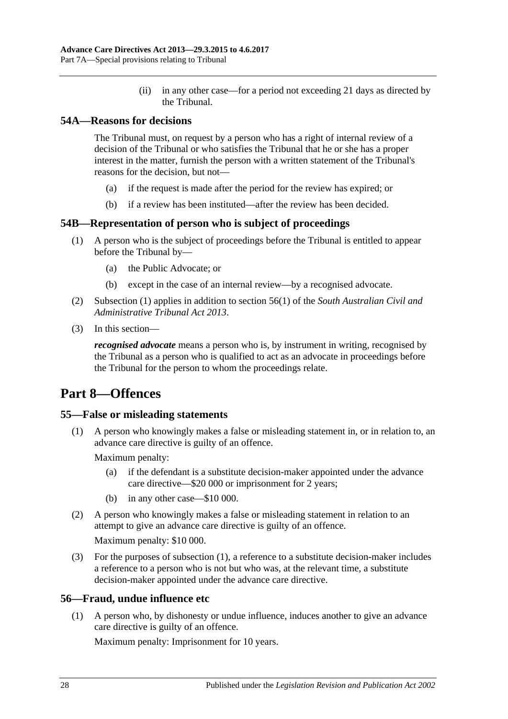(ii) in any other case—for a period not exceeding 21 days as directed by the Tribunal.

## <span id="page-27-0"></span>**54A—Reasons for decisions**

The Tribunal must, on request by a person who has a right of internal review of a decision of the Tribunal or who satisfies the Tribunal that he or she has a proper interest in the matter, furnish the person with a written statement of the Tribunal's reasons for the decision, but not—

- (a) if the request is made after the period for the review has expired; or
- (b) if a review has been instituted—after the review has been decided.

## <span id="page-27-5"></span><span id="page-27-1"></span>**54B—Representation of person who is subject of proceedings**

- (1) A person who is the subject of proceedings before the Tribunal is entitled to appear before the Tribunal by—
	- (a) the Public Advocate; or
	- (b) except in the case of an internal review—by a recognised advocate.
- (2) [Subsection](#page-27-5) (1) applies in addition to section 56(1) of the *[South Australian Civil and](http://www.legislation.sa.gov.au/index.aspx?action=legref&type=act&legtitle=South%20Australian%20Civil%20and%20Administrative%20Tribunal%20Act%202013)  [Administrative Tribunal Act](http://www.legislation.sa.gov.au/index.aspx?action=legref&type=act&legtitle=South%20Australian%20Civil%20and%20Administrative%20Tribunal%20Act%202013) 2013*.
- (3) In this section—

*recognised advocate* means a person who is, by instrument in writing, recognised by the Tribunal as a person who is qualified to act as an advocate in proceedings before the Tribunal for the person to whom the proceedings relate.

## <span id="page-27-2"></span>**Part 8—Offences**

## <span id="page-27-6"></span><span id="page-27-3"></span>**55—False or misleading statements**

(1) A person who knowingly makes a false or misleading statement in, or in relation to, an advance care directive is guilty of an offence.

Maximum penalty:

- (a) if the defendant is a substitute decision-maker appointed under the advance care directive—\$20 000 or imprisonment for 2 years;
- (b) in any other case—\$10 000.
- (2) A person who knowingly makes a false or misleading statement in relation to an attempt to give an advance care directive is guilty of an offence. Maximum penalty: \$10 000.
- (3) For the purposes of [subsection](#page-27-6) (1), a reference to a substitute decision-maker includes a reference to a person who is not but who was, at the relevant time, a substitute decision-maker appointed under the advance care directive.

## <span id="page-27-4"></span>**56—Fraud, undue influence etc**

(1) A person who, by dishonesty or undue influence, induces another to give an advance care directive is guilty of an offence.

Maximum penalty: Imprisonment for 10 years.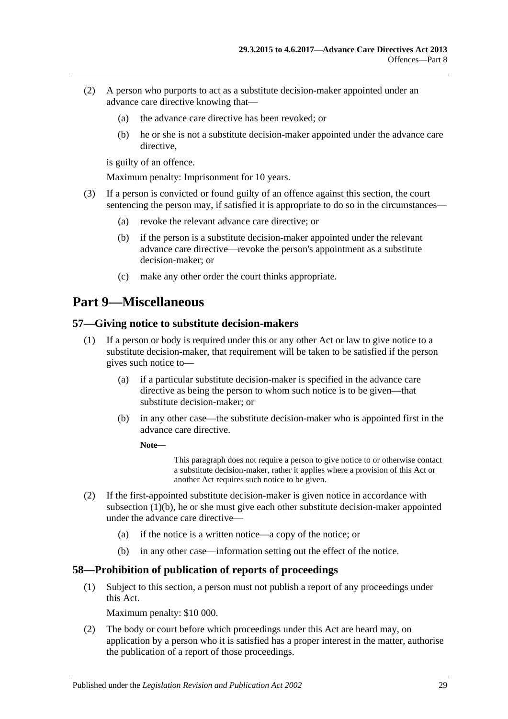- (2) A person who purports to act as a substitute decision-maker appointed under an advance care directive knowing that—
	- (a) the advance care directive has been revoked; or
	- (b) he or she is not a substitute decision-maker appointed under the advance care directive,

is guilty of an offence.

Maximum penalty: Imprisonment for 10 years.

- (3) If a person is convicted or found guilty of an offence against this section, the court sentencing the person may, if satisfied it is appropriate to do so in the circumstances—
	- (a) revoke the relevant advance care directive; or
	- (b) if the person is a substitute decision-maker appointed under the relevant advance care directive—revoke the person's appointment as a substitute decision-maker; or
	- (c) make any other order the court thinks appropriate.

## <span id="page-28-0"></span>**Part 9—Miscellaneous**

#### <span id="page-28-1"></span>**57—Giving notice to substitute decision-makers**

- <span id="page-28-3"></span>(1) If a person or body is required under this or any other Act or law to give notice to a substitute decision-maker, that requirement will be taken to be satisfied if the person gives such notice to—
	- (a) if a particular substitute decision-maker is specified in the advance care directive as being the person to whom such notice is to be given—that substitute decision-maker; or
	- (b) in any other case—the substitute decision-maker who is appointed first in the advance care directive.

**Note—**

This paragraph does not require a person to give notice to or otherwise contact a substitute decision-maker, rather it applies where a provision of this Act or another Act requires such notice to be given.

- (2) If the first-appointed substitute decision-maker is given notice in accordance with [subsection](#page-28-3) (1)(b), he or she must give each other substitute decision-maker appointed under the advance care directive—
	- (a) if the notice is a written notice—a copy of the notice; or
	- (b) in any other case—information setting out the effect of the notice.

#### <span id="page-28-2"></span>**58—Prohibition of publication of reports of proceedings**

(1) Subject to this section, a person must not publish a report of any proceedings under this Act.

Maximum penalty: \$10 000.

<span id="page-28-4"></span>(2) The body or court before which proceedings under this Act are heard may, on application by a person who it is satisfied has a proper interest in the matter, authorise the publication of a report of those proceedings.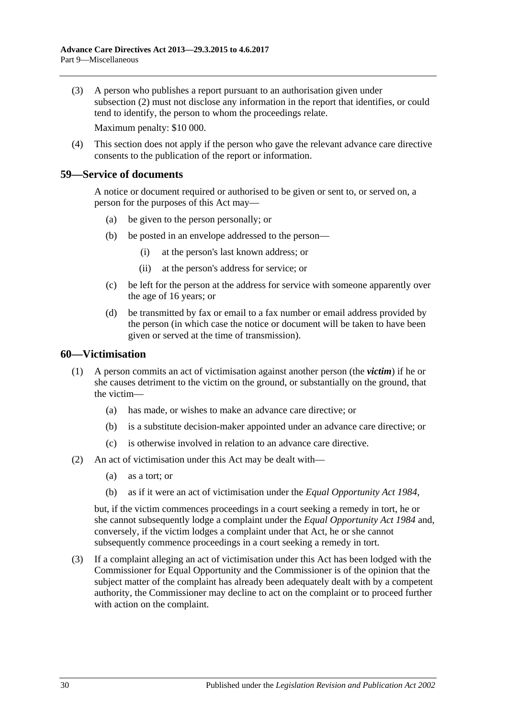- (3) A person who publishes a report pursuant to an authorisation given under [subsection](#page-28-4) (2) must not disclose any information in the report that identifies, or could tend to identify, the person to whom the proceedings relate. Maximum penalty: \$10 000.
- (4) This section does not apply if the person who gave the relevant advance care directive consents to the publication of the report or information.

### <span id="page-29-0"></span>**59—Service of documents**

A notice or document required or authorised to be given or sent to, or served on, a person for the purposes of this Act may—

- (a) be given to the person personally; or
- (b) be posted in an envelope addressed to the person—
	- (i) at the person's last known address; or
	- (ii) at the person's address for service; or
- (c) be left for the person at the address for service with someone apparently over the age of 16 years; or
- (d) be transmitted by fax or email to a fax number or email address provided by the person (in which case the notice or document will be taken to have been given or served at the time of transmission).

#### <span id="page-29-1"></span>**60—Victimisation**

- (1) A person commits an act of victimisation against another person (the *victim*) if he or she causes detriment to the victim on the ground, or substantially on the ground, that the victim—
	- (a) has made, or wishes to make an advance care directive; or
	- (b) is a substitute decision-maker appointed under an advance care directive; or
	- (c) is otherwise involved in relation to an advance care directive.
- (2) An act of victimisation under this Act may be dealt with—
	- (a) as a tort; or
	- (b) as if it were an act of victimisation under the *[Equal Opportunity Act](http://www.legislation.sa.gov.au/index.aspx?action=legref&type=act&legtitle=Equal%20Opportunity%20Act%201984) 1984*,

but, if the victim commences proceedings in a court seeking a remedy in tort, he or she cannot subsequently lodge a complaint under the *[Equal Opportunity Act](http://www.legislation.sa.gov.au/index.aspx?action=legref&type=act&legtitle=Equal%20Opportunity%20Act%201984) 1984* and, conversely, if the victim lodges a complaint under that Act, he or she cannot subsequently commence proceedings in a court seeking a remedy in tort.

(3) If a complaint alleging an act of victimisation under this Act has been lodged with the Commissioner for Equal Opportunity and the Commissioner is of the opinion that the subject matter of the complaint has already been adequately dealt with by a competent authority, the Commissioner may decline to act on the complaint or to proceed further with action on the complaint.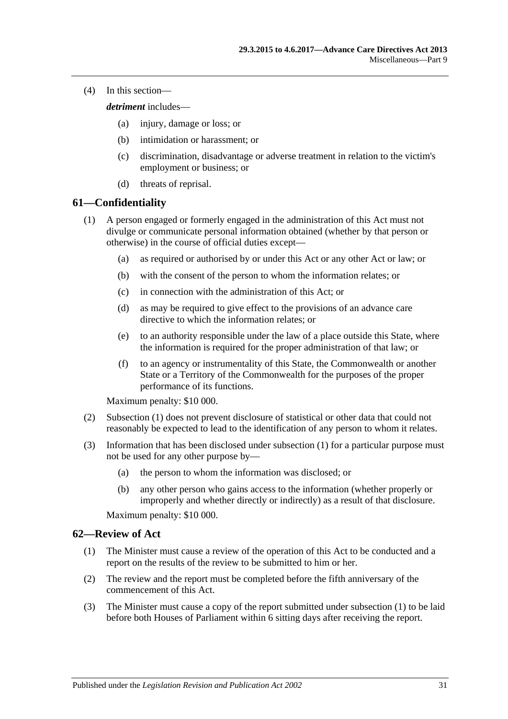(4) In this section—

*detriment* includes—

- (a) injury, damage or loss; or
- (b) intimidation or harassment; or
- (c) discrimination, disadvantage or adverse treatment in relation to the victim's employment or business; or
- (d) threats of reprisal.

### <span id="page-30-2"></span><span id="page-30-0"></span>**61—Confidentiality**

- (1) A person engaged or formerly engaged in the administration of this Act must not divulge or communicate personal information obtained (whether by that person or otherwise) in the course of official duties except—
	- (a) as required or authorised by or under this Act or any other Act or law; or
	- (b) with the consent of the person to whom the information relates; or
	- (c) in connection with the administration of this Act; or
	- (d) as may be required to give effect to the provisions of an advance care directive to which the information relates; or
	- (e) to an authority responsible under the law of a place outside this State, where the information is required for the proper administration of that law; or
	- (f) to an agency or instrumentality of this State, the Commonwealth or another State or a Territory of the Commonwealth for the purposes of the proper performance of its functions.

Maximum penalty: \$10 000.

- (2) [Subsection](#page-30-2) (1) does not prevent disclosure of statistical or other data that could not reasonably be expected to lead to the identification of any person to whom it relates.
- (3) Information that has been disclosed under [subsection](#page-30-2) (1) for a particular purpose must not be used for any other purpose by—
	- (a) the person to whom the information was disclosed; or
	- (b) any other person who gains access to the information (whether properly or improperly and whether directly or indirectly) as a result of that disclosure.

Maximum penalty: \$10 000.

#### <span id="page-30-3"></span><span id="page-30-1"></span>**62—Review of Act**

- (1) The Minister must cause a review of the operation of this Act to be conducted and a report on the results of the review to be submitted to him or her.
- (2) The review and the report must be completed before the fifth anniversary of the commencement of this Act.
- (3) The Minister must cause a copy of the report submitted under [subsection](#page-30-3) (1) to be laid before both Houses of Parliament within 6 sitting days after receiving the report.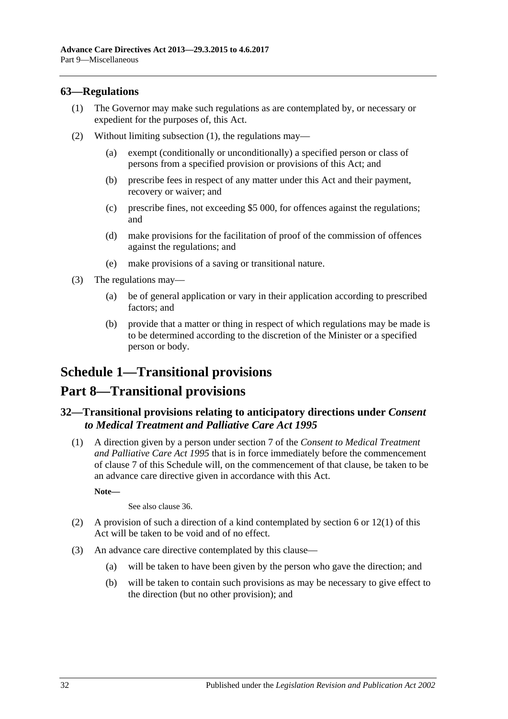## <span id="page-31-3"></span><span id="page-31-0"></span>**63—Regulations**

- (1) The Governor may make such regulations as are contemplated by, or necessary or expedient for the purposes of, this Act.
- (2) Without limiting [subsection](#page-31-3) (1), the regulations may—
	- (a) exempt (conditionally or unconditionally) a specified person or class of persons from a specified provision or provisions of this Act; and
	- (b) prescribe fees in respect of any matter under this Act and their payment, recovery or waiver; and
	- (c) prescribe fines, not exceeding \$5 000, for offences against the regulations; and
	- (d) make provisions for the facilitation of proof of the commission of offences against the regulations; and
	- (e) make provisions of a saving or transitional nature.
- (3) The regulations may—
	- (a) be of general application or vary in their application according to prescribed factors; and
	- (b) provide that a matter or thing in respect of which regulations may be made is to be determined according to the discretion of the Minister or a specified person or body.

## <span id="page-31-1"></span>**Schedule 1—Transitional provisions**

## **Part 8—Transitional provisions**

## <span id="page-31-2"></span>**32—Transitional provisions relating to anticipatory directions under** *Consent to Medical Treatment and Palliative Care Act 1995*

(1) A direction given by a person under section 7 of the *[Consent to Medical Treatment](http://www.legislation.sa.gov.au/index.aspx?action=legref&type=act&legtitle=Consent%20to%20Medical%20Treatment%20and%20Palliative%20Care%20Act%201995)  [and Palliative Care Act](http://www.legislation.sa.gov.au/index.aspx?action=legref&type=act&legtitle=Consent%20to%20Medical%20Treatment%20and%20Palliative%20Care%20Act%201995) 1995* that is in force immediately before the commencement of clause 7 of this Schedule will, on the commencement of that clause, be taken to be an advance care directive given in accordance with this Act.

**Note—**

See also [clause](#page-34-1) 36.

- <span id="page-31-4"></span>(2) A provision of such a direction of a kind contemplated by [section](#page-4-2) 6 or [12\(1\)](#page-8-1) of this Act will be taken to be void and of no effect.
- <span id="page-31-5"></span>(3) An advance care directive contemplated by this clause—
	- (a) will be taken to have been given by the person who gave the direction; and
	- (b) will be taken to contain such provisions as may be necessary to give effect to the direction (but no other provision); and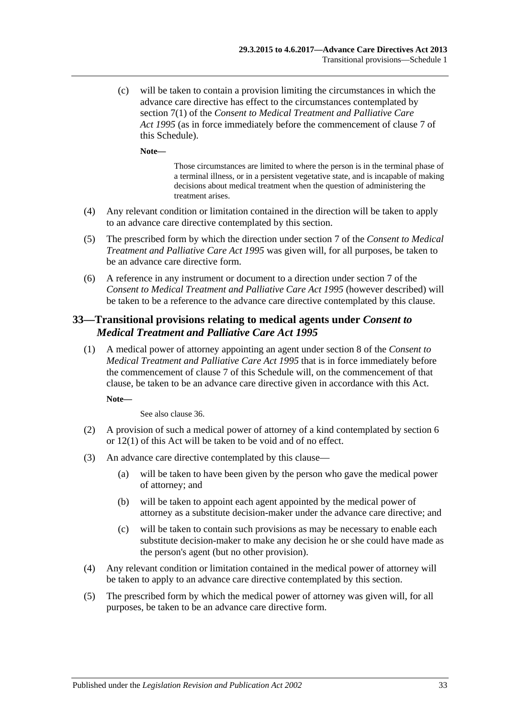(c) will be taken to contain a provision limiting the circumstances in which the advance care directive has effect to the circumstances contemplated by section 7(1) of the *[Consent to Medical Treatment and Palliative Care](http://www.legislation.sa.gov.au/index.aspx?action=legref&type=act&legtitle=Consent%20to%20Medical%20Treatment%20and%20Palliative%20Care%20Act%201995)  Act [1995](http://www.legislation.sa.gov.au/index.aspx?action=legref&type=act&legtitle=Consent%20to%20Medical%20Treatment%20and%20Palliative%20Care%20Act%201995)* (as in force immediately before the commencement of clause 7 of this Schedule).

**Note—**

Those circumstances are limited to where the person is in the terminal phase of a terminal illness, or in a persistent vegetative state, and is incapable of making decisions about medical treatment when the question of administering the treatment arises.

- <span id="page-32-1"></span>(4) Any relevant condition or limitation contained in the direction will be taken to apply to an advance care directive contemplated by this section.
- (5) The prescribed form by which the direction under section 7 of the *[Consent to Medical](http://www.legislation.sa.gov.au/index.aspx?action=legref&type=act&legtitle=Consent%20to%20Medical%20Treatment%20and%20Palliative%20Care%20Act%201995)  [Treatment and Palliative Care Act](http://www.legislation.sa.gov.au/index.aspx?action=legref&type=act&legtitle=Consent%20to%20Medical%20Treatment%20and%20Palliative%20Care%20Act%201995) 1995* was given will, for all purposes, be taken to be an advance care directive form.
- (6) A reference in any instrument or document to a direction under section 7 of the *[Consent to Medical Treatment and Palliative Care Act](http://www.legislation.sa.gov.au/index.aspx?action=legref&type=act&legtitle=Consent%20to%20Medical%20Treatment%20and%20Palliative%20Care%20Act%201995) 1995* (however described) will be taken to be a reference to the advance care directive contemplated by this clause.

## <span id="page-32-0"></span>**33—Transitional provisions relating to medical agents under** *Consent to Medical Treatment and Palliative Care Act 1995*

(1) A medical power of attorney appointing an agent under section 8 of the *[Consent to](http://www.legislation.sa.gov.au/index.aspx?action=legref&type=act&legtitle=Consent%20to%20Medical%20Treatment%20and%20Palliative%20Care%20Act%201995)  [Medical Treatment and Palliative Care Act](http://www.legislation.sa.gov.au/index.aspx?action=legref&type=act&legtitle=Consent%20to%20Medical%20Treatment%20and%20Palliative%20Care%20Act%201995) 1995* that is in force immediately before the commencement of clause 7 of this Schedule will, on the commencement of that clause, be taken to be an advance care directive given in accordance with this Act.

**Note—**

See also [clause](#page-34-1) 36.

- <span id="page-32-2"></span>(2) A provision of such a medical power of attorney of a kind contemplated by [section](#page-4-2) 6 or [12\(1\)](#page-8-1) of this Act will be taken to be void and of no effect.
- <span id="page-32-3"></span>(3) An advance care directive contemplated by this clause—
	- (a) will be taken to have been given by the person who gave the medical power of attorney; and
	- (b) will be taken to appoint each agent appointed by the medical power of attorney as a substitute decision-maker under the advance care directive; and
	- (c) will be taken to contain such provisions as may be necessary to enable each substitute decision-maker to make any decision he or she could have made as the person's agent (but no other provision).
- <span id="page-32-4"></span>(4) Any relevant condition or limitation contained in the medical power of attorney will be taken to apply to an advance care directive contemplated by this section.
- (5) The prescribed form by which the medical power of attorney was given will, for all purposes, be taken to be an advance care directive form.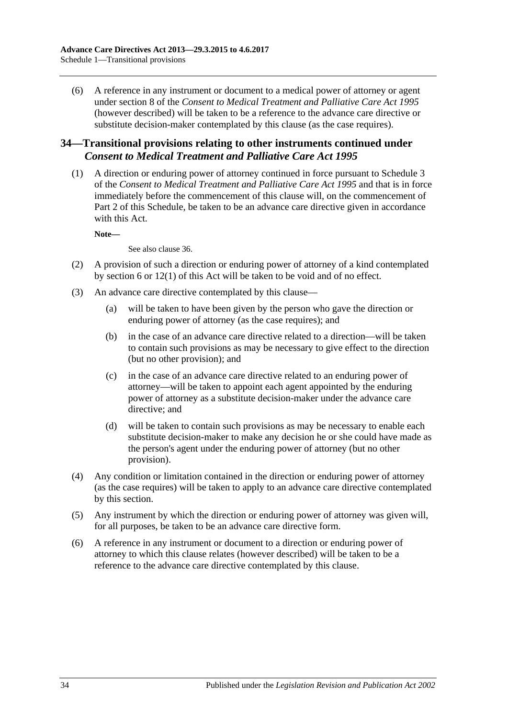(6) A reference in any instrument or document to a medical power of attorney or agent under section 8 of the *[Consent to Medical Treatment and Palliative Care Act](http://www.legislation.sa.gov.au/index.aspx?action=legref&type=act&legtitle=Consent%20to%20Medical%20Treatment%20and%20Palliative%20Care%20Act%201995) 1995* (however described) will be taken to be a reference to the advance care directive or substitute decision-maker contemplated by this clause (as the case requires).

## <span id="page-33-0"></span>**34—Transitional provisions relating to other instruments continued under**  *Consent to Medical Treatment and Palliative Care Act 1995*

(1) A direction or enduring power of attorney continued in force pursuant to Schedule 3 of the *[Consent to Medical Treatment and Palliative Care Act](http://www.legislation.sa.gov.au/index.aspx?action=legref&type=act&legtitle=Consent%20to%20Medical%20Treatment%20and%20Palliative%20Care%20Act%201995) 1995* and that is in force immediately before the commencement of this clause will, on the commencement of Part 2 of this Schedule, be taken to be an advance care directive given in accordance with this Act.

**Note—**

See also [clause](#page-34-1) 36.

- <span id="page-33-1"></span>(2) A provision of such a direction or enduring power of attorney of a kind contemplated by [section](#page-4-2) 6 or [12\(1\)](#page-8-1) of this Act will be taken to be void and of no effect.
- <span id="page-33-2"></span>(3) An advance care directive contemplated by this clause—
	- (a) will be taken to have been given by the person who gave the direction or enduring power of attorney (as the case requires); and
	- (b) in the case of an advance care directive related to a direction—will be taken to contain such provisions as may be necessary to give effect to the direction (but no other provision); and
	- (c) in the case of an advance care directive related to an enduring power of attorney—will be taken to appoint each agent appointed by the enduring power of attorney as a substitute decision-maker under the advance care directive; and
	- (d) will be taken to contain such provisions as may be necessary to enable each substitute decision-maker to make any decision he or she could have made as the person's agent under the enduring power of attorney (but no other provision).
- <span id="page-33-3"></span>(4) Any condition or limitation contained in the direction or enduring power of attorney (as the case requires) will be taken to apply to an advance care directive contemplated by this section.
- (5) Any instrument by which the direction or enduring power of attorney was given will, for all purposes, be taken to be an advance care directive form.
- (6) A reference in any instrument or document to a direction or enduring power of attorney to which this clause relates (however described) will be taken to be a reference to the advance care directive contemplated by this clause.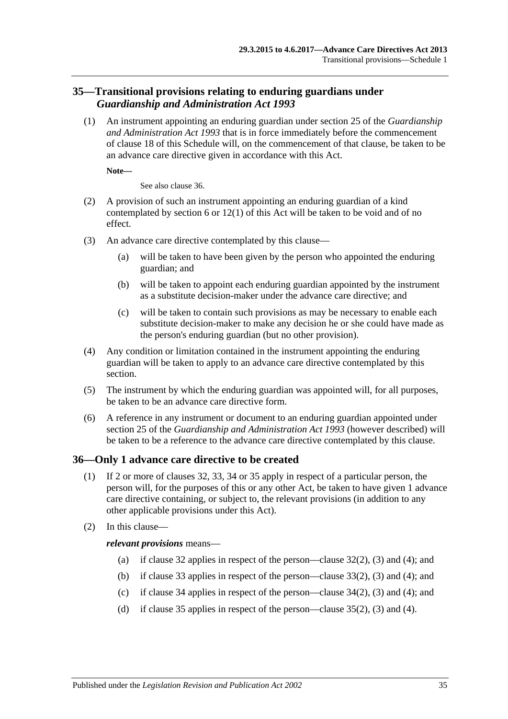## <span id="page-34-0"></span>**35—Transitional provisions relating to enduring guardians under**  *Guardianship and Administration Act 1993*

(1) An instrument appointing an enduring guardian under section 25 of the *[Guardianship](http://www.legislation.sa.gov.au/index.aspx?action=legref&type=act&legtitle=Guardianship%20and%20Administration%20Act%201993)  [and Administration Act](http://www.legislation.sa.gov.au/index.aspx?action=legref&type=act&legtitle=Guardianship%20and%20Administration%20Act%201993) 1993* that is in force immediately before the commencement of clause 18 of this Schedule will, on the commencement of that clause, be taken to be an advance care directive given in accordance with this Act.

**Note—**

See also [clause](#page-34-1) 36.

- <span id="page-34-2"></span>(2) A provision of such an instrument appointing an enduring guardian of a kind contemplated by [section](#page-4-2) 6 or [12\(1\)](#page-8-1) of this Act will be taken to be void and of no effect.
- <span id="page-34-3"></span>(3) An advance care directive contemplated by this clause—
	- (a) will be taken to have been given by the person who appointed the enduring guardian; and
	- (b) will be taken to appoint each enduring guardian appointed by the instrument as a substitute decision-maker under the advance care directive; and
	- (c) will be taken to contain such provisions as may be necessary to enable each substitute decision-maker to make any decision he or she could have made as the person's enduring guardian (but no other provision).
- <span id="page-34-4"></span>(4) Any condition or limitation contained in the instrument appointing the enduring guardian will be taken to apply to an advance care directive contemplated by this section.
- (5) The instrument by which the enduring guardian was appointed will, for all purposes, be taken to be an advance care directive form.
- (6) A reference in any instrument or document to an enduring guardian appointed under section 25 of the *[Guardianship and Administration Act](http://www.legislation.sa.gov.au/index.aspx?action=legref&type=act&legtitle=Guardianship%20and%20Administration%20Act%201993) 1993* (however described) will be taken to be a reference to the advance care directive contemplated by this clause.

## <span id="page-34-1"></span>**36—Only 1 advance care directive to be created**

- (1) If 2 or more of [clauses](#page-31-2) 32, [33,](#page-32-0) [34](#page-33-0) or [35](#page-34-0) apply in respect of a particular person, the person will, for the purposes of this or any other Act, be taken to have given 1 advance care directive containing, or subject to, the relevant provisions (in addition to any other applicable provisions under this Act).
- (2) In this clause—

#### *relevant provisions* means—

- (a) if [clause](#page-31-2) 32 applies in respect of the person[—clause](#page-31-4) 32(2), [\(3\)](#page-31-5) and [\(4\);](#page-32-1) and
- (b) if [clause](#page-32-0) 33 applies in respect of the person[—clause](#page-32-2) 33(2), [\(3\)](#page-32-3) and [\(4\);](#page-32-4) and
- (c) if [clause](#page-33-0) 34 applies in respect of the person[—clause](#page-33-1)  $34(2)$ , [\(3\)](#page-33-2) and [\(4\);](#page-33-3) and
- (d) if [clause](#page-34-0) 35 applies in respect of the person[—clause](#page-34-2) 35(2), [\(3\)](#page-34-3) and [\(4\).](#page-34-4)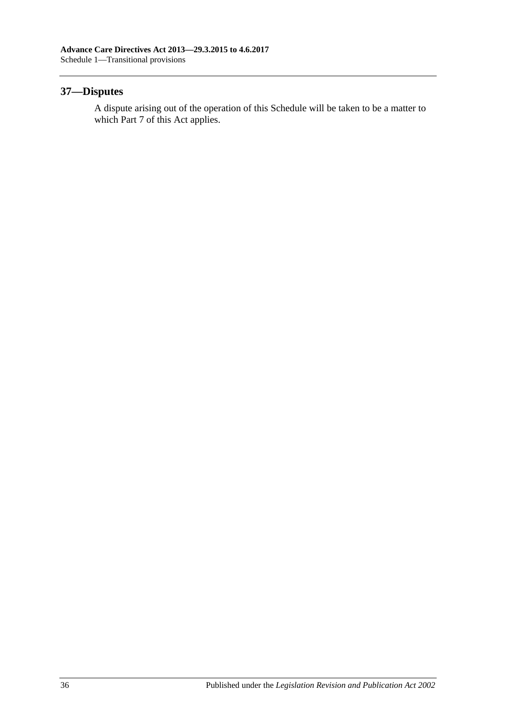## <span id="page-35-0"></span>**37—Disputes**

A dispute arising out of the operation of this Schedule will be taken to be a matter to which [Part](#page-20-1) 7 of this Act applies.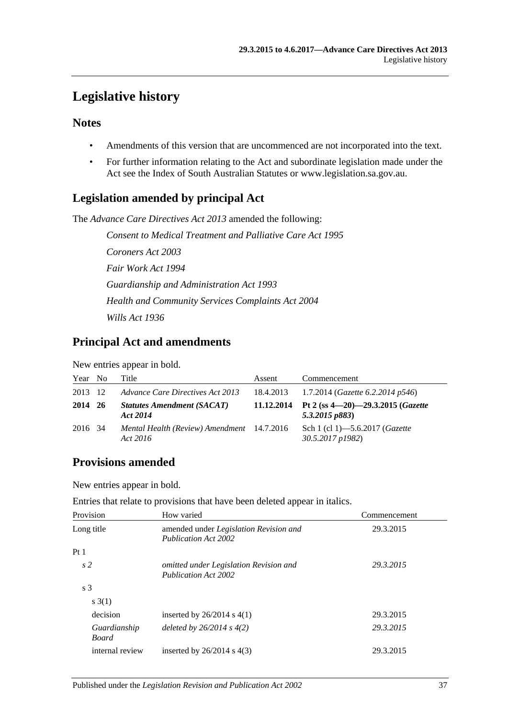## <span id="page-36-0"></span>**Legislative history**

## **Notes**

- Amendments of this version that are uncommenced are not incorporated into the text.
- For further information relating to the Act and subordinate legislation made under the Act see the Index of South Australian Statutes or www.legislation.sa.gov.au.

## **Legislation amended by principal Act**

The *Advance Care Directives Act 2013* amended the following:

*Consent to Medical Treatment and Palliative Care Act 1995 Coroners Act 2003 Fair Work Act 1994 Guardianship and Administration Act 1993 Health and Community Services Complaints Act 2004 Wills Act 1936*

## **Principal Act and amendments**

New entries appear in bold.

| Year No | Title                                                  | Assent    | Commencement                                                     |
|---------|--------------------------------------------------------|-----------|------------------------------------------------------------------|
| 2013 12 | Advance Care Directives Act 2013                       | 18.4.2013 | 1.7.2014 ( <i>Gazette</i> 6.2.2014 p546)                         |
| 2014 26 | <b>Statutes Amendment (SACAT)</b><br>Act 2014          |           | 11.12.2014 Pt 2 (ss $4-20$ )-29.3.2015 (Gazette<br>5.3.2015 p883 |
| 2016 34 | Mental Health (Review) Amendment 14.7.2016<br>Act 2016 |           | Sch 1 (cl 1)–5.6.2017 ( <i>Gazette</i><br>30.5.2017 p1982)       |

## **Provisions amended**

New entries appear in bold.

Entries that relate to provisions that have been deleted appear in italics.

| Provision                    | How varied                                                                   | Commencement |  |
|------------------------------|------------------------------------------------------------------------------|--------------|--|
| Long title                   | amended under <i>Legislation Revision and</i><br><b>Publication Act 2002</b> | 29.3.2015    |  |
| Pt1                          |                                                                              |              |  |
| s <sub>2</sub>               | omitted under Legislation Revision and<br><b>Publication Act 2002</b>        | 29.3.2015    |  |
| s <sub>3</sub>               |                                                                              |              |  |
| s(1)                         |                                                                              |              |  |
| decision                     | inserted by $26/2014$ s $4(1)$                                               | 29.3.2015    |  |
| Guardianship<br><b>Board</b> | deleted by $26/2014$ s $4(2)$                                                | 29.3.2015    |  |
| internal review              | inserted by $26/2014$ s $4(3)$                                               | 29.3.2015    |  |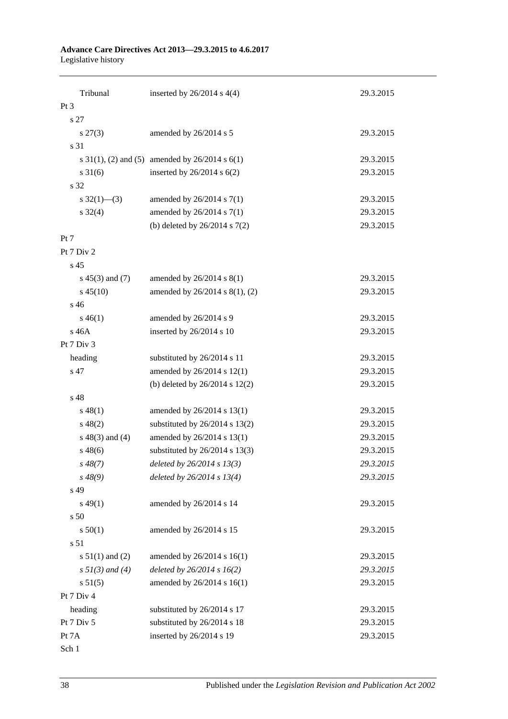#### **Advance Care Directives Act 2013—29.3.2015 to 4.6.2017** Legislative history

| Tribunal             | inserted by $26/2014$ s $4(4)$                        | 29.3.2015 |  |  |  |  |
|----------------------|-------------------------------------------------------|-----------|--|--|--|--|
| Pt <sub>3</sub>      |                                                       |           |  |  |  |  |
| s 27                 |                                                       |           |  |  |  |  |
| $s\,27(3)$           | amended by 26/2014 s 5                                | 29.3.2015 |  |  |  |  |
| s 31                 |                                                       |           |  |  |  |  |
|                      | s $31(1)$ , (2) and (5) amended by $26/2014$ s $6(1)$ | 29.3.2015 |  |  |  |  |
| $s \, 31(6)$         | inserted by $26/2014$ s $6(2)$                        | 29.3.2015 |  |  |  |  |
| s 32                 |                                                       |           |  |  |  |  |
|                      |                                                       | 29.3.2015 |  |  |  |  |
| s $32(1)$ (3)        | amended by $26/2014$ s $7(1)$                         | 29.3.2015 |  |  |  |  |
| $s \frac{32(4)}{2}$  | amended by 26/2014 s 7(1)                             |           |  |  |  |  |
|                      | (b) deleted by $26/2014$ s $7(2)$                     | 29.3.2015 |  |  |  |  |
| Pt 7                 |                                                       |           |  |  |  |  |
| Pt 7 Div 2           |                                                       |           |  |  |  |  |
| s 45                 |                                                       |           |  |  |  |  |
| $s\ 45(3)$ and (7)   | amended by $26/2014$ s $8(1)$                         | 29.3.2015 |  |  |  |  |
| $s\,45(10)$          | amended by 26/2014 s 8(1), (2)                        | 29.3.2015 |  |  |  |  |
| $s\,46$              |                                                       |           |  |  |  |  |
| $s\,46(1)$           | amended by 26/2014 s 9                                | 29.3.2015 |  |  |  |  |
| s 46A                | inserted by 26/2014 s 10                              | 29.3.2015 |  |  |  |  |
| Pt 7 Div 3           |                                                       |           |  |  |  |  |
| heading              | substituted by 26/2014 s 11                           | 29.3.2015 |  |  |  |  |
| s 47                 | amended by 26/2014 s 12(1)                            | 29.3.2015 |  |  |  |  |
|                      | (b) deleted by $26/2014$ s $12(2)$                    | 29.3.2015 |  |  |  |  |
| s 48                 |                                                       |           |  |  |  |  |
| $s\,48(1)$           | amended by 26/2014 s 13(1)                            | 29.3.2015 |  |  |  |  |
| $s\,48(2)$           | substituted by $26/2014$ s 13(2)                      | 29.3.2015 |  |  |  |  |
| $s\ 48(3)$ and (4)   | amended by 26/2014 s 13(1)                            | 29.3.2015 |  |  |  |  |
| $s\,48(6)$           | substituted by 26/2014 s 13(3)                        | 29.3.2015 |  |  |  |  |
| $s\,48(7)$           | deleted by $26/2014$ s $13(3)$                        | 29.3.2015 |  |  |  |  |
| $s\,48(9)$           | deleted by $26/2014 s 13(4)$                          | 29.3.2015 |  |  |  |  |
| s 49                 |                                                       |           |  |  |  |  |
| $s\,49(1)$           | amended by 26/2014 s 14                               | 29.3.2015 |  |  |  |  |
| s 50                 |                                                       |           |  |  |  |  |
| s 50(1)              | amended by 26/2014 s 15                               | 29.3.2015 |  |  |  |  |
| s 51                 |                                                       |           |  |  |  |  |
| s $51(1)$ and (2)    | amended by 26/2014 s 16(1)                            | 29.3.2015 |  |  |  |  |
| $s \, 51(3)$ and (4) | deleted by 26/2014 s 16(2)                            | 29.3.2015 |  |  |  |  |
| s 51(5)              | amended by 26/2014 s 16(1)                            | 29.3.2015 |  |  |  |  |
| Pt 7 Div 4           |                                                       |           |  |  |  |  |
| heading              | substituted by 26/2014 s 17                           | 29.3.2015 |  |  |  |  |
| Pt 7 Div 5           | substituted by 26/2014 s 18                           | 29.3.2015 |  |  |  |  |
| Pt 7A                | inserted by 26/2014 s 19                              | 29.3.2015 |  |  |  |  |
| Sch 1                |                                                       |           |  |  |  |  |